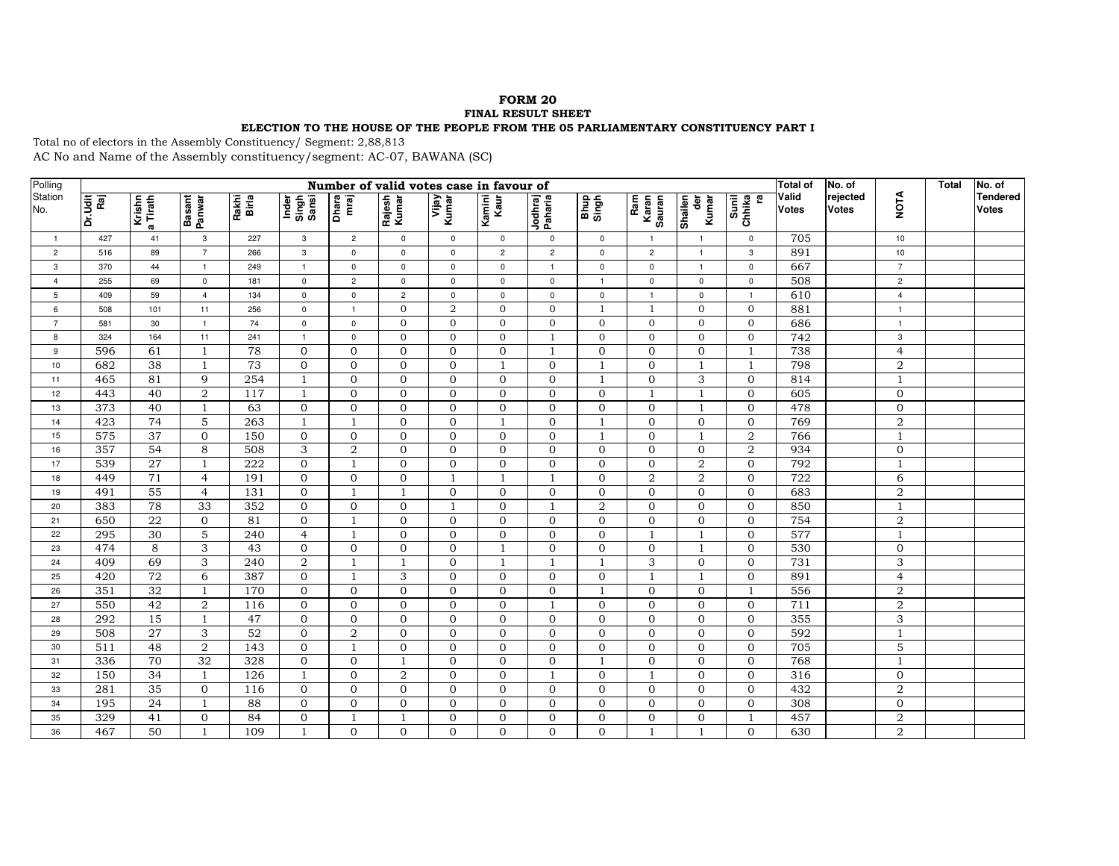## **FORM 20**

## **FINAL RESULT SHEET**

## **ELECTION TO THE HOUSE OF THE PEOPLE FROM THE 05 PARLIAMENTARY CONSTITUENCY PART I**

Total no of electors in the Assembly Constituency/ Segment: 2,88,813 AC No and Name of the Assembly constituency/segment: AC-07, BAWANA (SC)

| Polling        | Number of valid votes case in favour of |                      |                  |                |                         |                     |                 |                |                |                    |                |                        |                       |                       | <b>Total of</b>       | No. of                   |                | Total | No. of                          |
|----------------|-----------------------------------------|----------------------|------------------|----------------|-------------------------|---------------------|-----------------|----------------|----------------|--------------------|----------------|------------------------|-----------------------|-----------------------|-----------------------|--------------------------|----------------|-------|---------------------------------|
| Station<br>No. | Dr.Udit<br>Raj                          | a Tirath<br>a Tirath | Basant<br>Panwar | Rakhi<br>Birla | Inder<br>Singh<br>Sansi | Dhara<br>mraj       | Rajesh<br>Kumar | Vijay<br>Kumar | Kamini<br>Kaur | Jodhraj<br>Paharia | Bhup<br>Singh  | Ram<br>Karan<br>Sauran | Shailen<br>ē<br>Kumar | Sunil<br>Chhika<br>Ch | Valid<br><b>Votes</b> | rejected<br><b>Votes</b> | <b>NOTA</b>    |       | <b>Tendered</b><br><b>Votes</b> |
| $\mathbf{1}$   | 427                                     | 41                   | $\mathbf{3}$     | 227            | 3                       | $\overline{c}$      | $\mathsf 0$     | $\mathbf{0}$   | $\mathbf 0$    | $\mathbf 0$        | $\mathbf{0}$   | $\overline{1}$         | $\overline{1}$        | $\mathsf 0$           | 705                   |                          | 10             |       |                                 |
| $\overline{c}$ | 516                                     | 89                   | $\overline{7}$   | 266            | $\mathbf{3}$            | $\mathbf 0$         | $\mathbf 0$     | $\mathbf{0}$   | $\overline{2}$ | $\overline{2}$     | $\mathbf{0}$   | $\overline{2}$         | $\overline{1}$        | 3                     | 891                   |                          | 10             |       |                                 |
| 3              | 370                                     | 44                   | $\overline{1}$   | 249            | $\overline{1}$          | $\mathbf 0$         | $\mathbf 0$     | $\mathbf 0$    | $\mathbf 0$    | $\mathbf{1}$       | $\mathbf 0$    | $\mathbf{0}$           | $\overline{1}$        | $\mathbf 0$           | 667                   |                          | $\overline{7}$ |       |                                 |
| $\overline{4}$ | 255                                     | 69                   | $\mathsf 0$      | 181            | $\mathsf 0$             | $\overline{c}$      | $\mathsf 0$     | $\mathsf 0$    | $\mathsf 0$    | $\mathsf 0$        | $\overline{1}$ | $\mathsf 0$            | $\mathbf 0$           | $\mathsf 0$           | 508                   |                          | $\overline{c}$ |       |                                 |
| 5              | 409                                     | 59                   | $\overline{4}$   | 134            | $\mathsf 0$             | $\mathsf{O}\xspace$ | $\overline{c}$  | $\mathsf 0$    | $\mathsf 0$    | $\mathsf 0$        | $\mathsf 0$    | $\overline{1}$         | $\mathsf 0$           | $\overline{1}$        | $\overline{610}$      |                          | $\overline{4}$ |       |                                 |
| 6              | 508                                     | 101                  | 11               | 256            | $\mathbf 0$             | $\overline{1}$      | $\mathbf{0}$    | $\overline{2}$ | $\mathbf{0}$   | $\mathbf{0}$       | $\mathbf{1}$   | 1                      | $\mathbf{0}$          | $\mathbf{0}$          | 881                   |                          | $\overline{1}$ |       |                                 |
| $\overline{7}$ | 581                                     | 30                   | $\overline{1}$   | 74             | $\mathsf 0$             | $\mathsf 0$         | $\mathbf{0}$    | $\mathbf{0}$   | $\Omega$       | $\mathbf{0}$       | $\overline{0}$ | $\Omega$               | $\mathbf{0}$          | $\mathbf 0$           | 686                   |                          | $\overline{1}$ |       |                                 |
| 8              | 324                                     | 164                  | 11               | 241            | $\overline{1}$          | $\mathbf 0$         | $\mathbf{0}$    | $\mathbf{0}$   | $\Omega$       | $\mathbf{1}$       | $\overline{0}$ | $\Omega$               | $\mathbf{0}$          | $\mathbf{0}$          | 742                   |                          | 3              |       |                                 |
| 9              | 596                                     | 61                   | -1               | 78             | $\overline{0}$          | $\mathbf 0$         | $\mathbf 0$     | $\mathbf{0}$   | $\mathbf{0}$   | $\overline{1}$     | $\overline{0}$ | $\Omega$               | $\mathbf{0}$          | $\mathbf{1}$          | 738                   |                          | $\overline{4}$ |       |                                 |
| 10             | 682                                     | 38                   | $\overline{1}$   | 73             | $\mathbf{O}$            | $\overline{0}$      | $\mathbf{0}$    | $\mathbf{0}$   | $\overline{1}$ | $\mathbf{0}$       | $\mathbf{1}$   | $\overline{0}$         | $\overline{1}$        | $\mathbf{1}$          | 798                   |                          | $\overline{2}$ |       |                                 |
| 11             | 465                                     | 81                   | 9                | 254            | $\overline{1}$          | $\overline{0}$      | $\mathbf{0}$    | $\Omega$       | $\Omega$       | $\Omega$           | $\mathbf{1}$   | $\Omega$               | 3                     | $\mathbf{O}$          | 814                   |                          | $\overline{1}$ |       |                                 |
| 12             | 443                                     | 40                   | 2                | 117            | $\overline{1}$          | $\mathbf{O}$        | $\mathbf{0}$    | $\mathbf{0}$   | $\mathbf{0}$   | $\mathbf{0}$       | $\overline{0}$ | $\mathbf{1}$           | $\overline{1}$        | $\mathbf{0}$          | 605                   |                          | $\mathbf{0}$   |       |                                 |
| 13             | 373                                     | 40                   | $\mathbf{1}$     | 63             | $\mathbf{0}$            | $\mathbf 0$         | $\mathbf{0}$    | $\mathbf{0}$   | $\mathbf{0}$   | $\Omega$           | $\mathbf{0}$   | $\Omega$               | $\overline{1}$        | $\mathbf{0}$          | 478                   |                          | $\mathbf{0}$   |       |                                 |
| 14             | 423                                     | 74                   | 5                | 263            | $\mathbf{1}$            | $\overline{1}$      | $\mathbf{0}$    | $\mathbf{0}$   | $\overline{1}$ | $\mathbf{0}$       | $\mathbf{1}$   | $\overline{0}$         | $\mathbf 0$           | $\mathbf 0$           | 769                   |                          | $\overline{2}$ |       |                                 |
| 15             | 575                                     | 37                   | $\mathbf{0}$     | 150            | $\mathbf{0}$            | $\mathbf 0$         | $\mathbf{0}$    | $\mathbf{0}$   | $\mathbf{0}$   | $\mathbf{0}$       | $\mathbf{1}$   | $\Omega$               | $\overline{1}$        | $\overline{2}$        | 766                   |                          | $\overline{1}$ |       |                                 |
| 16             | 357                                     | 54                   | 8                | 508            | 3                       | $\overline{a}$      | $\mathbf{0}$    | $\mathbf{0}$   | $\Omega$       | $\Omega$           | $\Omega$       | $\Omega$               | $\Omega$              | $\overline{2}$        | 934                   |                          | $\Omega$       |       |                                 |
| 17             | 539                                     | 27                   | $\overline{1}$   | 222            | $\mathbf{0}$            | $\overline{1}$      | $\mathbf{0}$    | $\mathbf{0}$   | $\mathbf{0}$   | $\mathbf{0}$       | $\overline{0}$ | $\overline{0}$         | $\overline{2}$        | $\mathbf{0}$          | 792                   |                          | $\mathbf{1}$   |       |                                 |
| 18             | 449                                     | 71                   | $\overline{4}$   | 191            | $\mathbf{0}$            | $\mathbf 0$         | $\mathbf{0}$    | $\overline{1}$ | $\overline{1}$ | $\mathbf{1}$       | $\Omega$       | $\overline{2}$         | $\overline{2}$        | $\mathbf{O}$          | 722                   |                          | 6              |       |                                 |
| 19             | 491                                     | 55                   | $\overline{4}$   | 131            | $\mathbf{0}$            | $\overline{1}$      | $\mathbf{1}$    | $\mathbf{0}$   | $\mathbf{0}$   | $\mathbf{0}$       | $\overline{0}$ | $\overline{0}$         | $\mathbf{0}$          | $\mathbf{0}$          | 683                   |                          | $\overline{2}$ |       |                                 |
| 20             | 383                                     | 78                   | 33               | 352            | $\mathbf{0}$            | $\mathbf 0$         | $\mathbf{0}$    | $\mathbf{1}$   | $\mathbf{0}$   | $\mathbf{1}$       | 2              | $\mathbf{0}$           | $\overline{0}$        | $\mathbf{0}$          | 850                   |                          | $\overline{1}$ |       |                                 |
| 21             | 650                                     | 22                   | $\overline{0}$   | 81             | $\mathbf{0}$            | 1                   | $\mathbf{0}$    | $\mathbf{0}$   | $\Omega$       | $\Omega$           | $\overline{0}$ | $\Omega$               | $\mathbf{0}$          | $\mathbf{0}$          | 754                   |                          | $\overline{2}$ |       |                                 |
| 22             | 295                                     | 30                   | $\overline{5}$   | 240            | $\overline{4}$          | $\mathbf{1}$        | $\mathbf{0}$    | $\mathbf{0}$   | $\Omega$       | $\Omega$           | $\mathbf{0}$   | -1                     | $\overline{1}$        | $\mathbf{0}$          | 577                   |                          | $\overline{1}$ |       |                                 |
| 23             | 474                                     | 8                    | 3                | 43             | $\mathbf{0}$            | $\mathbf 0$         | $\overline{0}$  | $\mathbf{0}$   | $\mathbf{1}$   | $\Omega$           | $\overline{0}$ | $\Omega$               | $\overline{1}$        | $\mathbf{0}$          | 530                   |                          | $\mathbf{0}$   |       |                                 |
| 24             | 409                                     | 69                   | 3                | 240            | $\overline{a}$          | $\overline{1}$      | $\mathbf{1}$    | $\mathbf{0}$   | $\overline{1}$ | $\overline{1}$     | $\overline{1}$ | 3                      | $\mathbf{0}$          | $\mathbf{0}$          | 731                   |                          | 3              |       |                                 |
| 25             | 420                                     | 72                   | 6                | 387            | $\overline{0}$          | 1                   | 3               | $\mathbf{0}$   | $\mathbf{0}$   | $\mathbf{0}$       | $\mathbf{0}$   | $\mathbf{1}$           | $\mathbf{1}$          | $\mathbf{0}$          | 891                   |                          | $\overline{4}$ |       |                                 |
| 26             | 351                                     | 32                   | $\mathbf{1}$     | 170            | $\mathbf{0}$            | $\mathbf{O}$        | $\mathbf{0}$    | $\mathbf{0}$   | $\Omega$       | $\Omega$           | $\mathbf{1}$   | $\Omega$               | $\Omega$              | $\mathbf{1}$          | 556                   |                          | $\overline{2}$ |       |                                 |
| 27             | 550                                     | 42                   | $\,2$            | 116            | $\mathbf{0}$            | $\mathbf 0$         | $\mathbf{0}$    | $\mathbf{0}$   | $\mathbf{0}$   | -1                 | $\overline{0}$ | $\Omega$               | $\mathbf{O}$          | $\mathbf 0$           | 711                   |                          | $\,2$          |       |                                 |
| 28             | 292                                     | 15                   | $\overline{1}$   | 47             | $\mathbf 0$             | $\mathbf 0$         | $\mathbf{0}$    | $\mathbf{0}$   | $\mathbf{0}$   | $\mathbf{0}$       | $\mathbf{O}$   | $\overline{0}$         | $\mathbf 0$           | $\mathbf 0$           | 355                   |                          | 3              |       |                                 |
| 29             | 508                                     | $\overline{27}$      | 3                | 52             | $\mathbf{0}$            | $\,2$               | $\mathbf{0}$    | $\mathbf{0}$   | $\mathbf{0}$   | $\mathbf{0}$       | $\overline{0}$ | $\Omega$               | $\mathbf{0}$          | $\mathbf 0$           | 592                   |                          | $\overline{1}$ |       |                                 |
| 30             | 511                                     | 48                   | 2                | 143            | $\mathbf{0}$            | $\mathbf{1}$        | $\mathbf{0}$    | $\mathbf{0}$   | $\mathbf{0}$   | $\mathbf{0}$       | $\mathbf{0}$   | $\overline{0}$         | $\mathbf{0}$          | $\mathbf{0}$          | 705                   |                          | $\overline{5}$ |       |                                 |
| 31             | 336                                     | 70                   | 32               | 328            | $\mathbf{0}$            | $\mathbf{0}$        | $\mathbf{1}$    | $\Omega$       | $\Omega$       | $\Omega$           | $\mathbf{1}$   | $\Omega$               | $\Omega$              | $\Omega$              | 768                   |                          | $\mathbf{1}$   |       |                                 |
| 32             | 150                                     | 34                   | $\mathbf{1}$     | 126            | $\overline{1}$          | $\mathbf{O}$        | $\overline{2}$  | $\Omega$       | $\mathbf{0}$   | $\overline{1}$     | $\overline{0}$ | $\mathbf{1}$           | $\mathbf{O}$          | $\mathbf{O}$          | 316                   |                          | $\Omega$       |       |                                 |
| 33             | 281                                     | 35                   | $\mathbf{0}$     | 116            | $\mathbf{0}$            | $\overline{0}$      | $\mathbf{0}$    | $\mathbf{0}$   | $\mathbf{0}$   | $\Omega$           | $\Omega$       | $\Omega$               | $\mathbf{0}$          | $\mathbf{0}$          | 432                   |                          | $\overline{2}$ |       |                                 |
| 34             | 195                                     | 24                   | $\mathbf{1}$     | 88             | $\mathbf{0}$            | $\mathbf 0$         | $\mathbf{0}$    | $\mathbf{0}$   | $\mathbf{0}$   | $\Omega$           | $\overline{0}$ | $\mathbf{0}$           | $\overline{0}$        | $\mathbf 0$           | 308                   |                          | $\mathbf{0}$   |       |                                 |
| 35             | 329                                     | 41                   | $\mathbf{0}$     | 84             | $\mathbf{0}$            | $\overline{1}$      | $\mathbf{1}$    | $\mathbf{0}$   | $\mathbf{0}$   | $\mathbf{O}$       | $\overline{0}$ | $\mathbf{0}$           | $\overline{0}$        | $\mathbf{1}$          | 457                   |                          | $\sqrt{2}$     |       |                                 |
| 36             | 467                                     | 50                   | $\overline{1}$   | 109            | $\overline{1}$          | $\Omega$            | $\Omega$        | $\Omega$       | $\Omega$       | $\Omega$           | $\Omega$       |                        | $\overline{1}$        | $\Omega$              | 630                   |                          | $\overline{2}$ |       |                                 |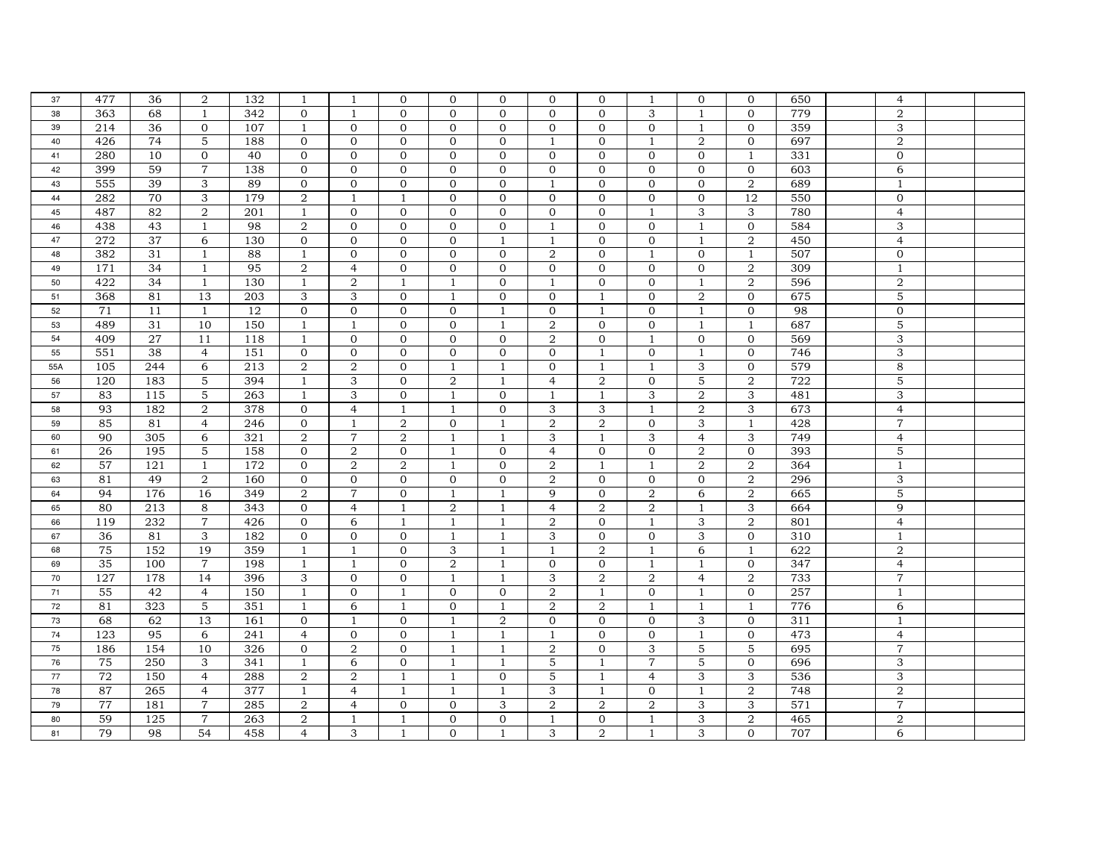| 37  | 477 | 36  | 2              | 132 | $\overline{1}$   | -1             | $\mathbf{0}$   | $\Omega$       | $\mathbf{0}$   | $\Omega$       | $\mathbf{0}$   | -1             | $\mathbf{0}$   | $\mathbf{0}$              | 650 | 4                         |  |
|-----|-----|-----|----------------|-----|------------------|----------------|----------------|----------------|----------------|----------------|----------------|----------------|----------------|---------------------------|-----|---------------------------|--|
| 38  | 363 | 68  | $\mathbf{1}$   | 342 | $\Omega$         | $\overline{1}$ | $\Omega$       | $\Omega$       | $\Omega$       | $\Omega$       | $\Omega$       | 3              | $\mathbf{1}$   | $\Omega$                  | 779 | $\overline{2}$            |  |
| 39  | 214 | 36  | $\mathbf{0}$   | 107 | $\mathbf{1}$     | $\mathbf 0$    | $\mathbf{0}$   | $\mathbf{0}$   | $\mathbf{0}$   | $\mathbf{0}$   | $\mathbf{0}$   | $\mathbf{0}$   | $\mathbf{1}$   | $\mathbf 0$               | 359 | 3                         |  |
| 40  | 426 | 74  | 5              | 188 | $\mathbf{0}$     | $\mathbf{0}$   | $\mathbf{0}$   | $\overline{0}$ | $\mathbf{0}$   | -1             | $\mathbf{0}$   | 1              | 2              | $\mathbf{0}$              | 697 | $\overline{2}$            |  |
| 41  | 280 | 10  | $\overline{0}$ | 40  | $\mathbf 0$      | $\mathbf{0}$   | $\mathbf{0}$   | $\overline{0}$ | $\mathbf{0}$   | $\mathbf{0}$   | $\mathbf{0}$   | $\overline{0}$ | $\mathbf 0$    | $\mathbf{1}$              | 331 | $\mathbf{0}$              |  |
| 42  | 399 | 59  | $\overline{7}$ | 138 | $\mathbf 0$      | $\mathbf 0$    | $\mathbf{0}$   | $\mathbf{0}$   | $\mathbf 0$    | $\mathbf{0}$   | $\mathbf{0}$   | $\mathbf{0}$   | $\mathbf 0$    | $\mathbf{0}$              | 603 | 6                         |  |
| 43  | 555 | 39  | 3              | 89  | $\Omega$         | $\Omega$       | $\Omega$       | $\Omega$       | $\Omega$       | $\overline{1}$ | $\Omega$       | $\Omega$       | $\Omega$       | 2                         | 689 | $\mathbf{1}$              |  |
| 44  | 282 | 70  | 3              | 179 | $\overline{a}$   | $\mathbf{1}$   | $\mathbf{1}$   | $\mathbf{0}$   | $\mathbf{0}$   | $\mathbf{0}$   | $\mathbf{0}$   | $\mathbf{0}$   | $\mathbf 0$    | 12                        | 550 | $\mathbf{0}$              |  |
| 45  | 487 | 82  | $\overline{2}$ | 201 | 1                | $\mathbf{0}$   | $\mathbf{0}$   | $\mathbf{0}$   | $\mathbf{0}$   | $\Omega$       | $\Omega$       | $\mathbf{1}$   | 3              | 3                         | 780 | $\overline{4}$            |  |
| 46  | 438 | 43  | $\mathbf{1}$   | 98  | $\overline{2}$   | $\mathbf 0$    | $\mathbf{0}$   | $\mathbf{0}$   | $\mathbf{0}$   | $\mathbf{1}$   | $\mathbf{0}$   | $\mathbf{0}$   | $\mathbf{1}$   | $\mathbf 0$               | 584 | 3                         |  |
| 47  | 272 | 37  | 6              | 130 | $\mathbf 0$      | $\mathbf 0$    | $\mathbf{0}$   | $\mathbf{0}$   | $\mathbf{1}$   | $\mathbf{1}$   | $\mathbf{0}$   | $\mathbf{0}$   | $\mathbf{1}$   | $\overline{a}$            | 450 | $\overline{4}$            |  |
| 48  | 382 | 31  | $\mathbf{1}$   | 88  | $\overline{1}$   | $\mathbf{O}$   | $\mathbf{O}$   | $\overline{0}$ | $\mathbf{0}$   | 2              | $\Omega$       | $\mathbf{1}$   | $\mathbf{0}$   | $\overline{1}$            | 507 | $\mathbf{0}$              |  |
| 49  | 171 | 34  | $\mathbf{1}$   | 95  | $\boldsymbol{2}$ | $\overline{4}$ | $\mathbf 0$    | $\mathbf{0}$   | $\mathbf{0}$   | $\mathbf{0}$   | $\overline{0}$ | $\mathbf{0}$   | $\mathbf{0}$   | $\overline{a}$            | 309 | $\mathbf{1}$              |  |
| 50  | 422 | 34  | $\mathbf{1}$   | 130 | $\overline{1}$   | $\overline{2}$ | $\mathbf{1}$   | $\mathbf{1}$   | $\mathbf{0}$   | $\mathbf{1}$   | $\Omega$       | $\Omega$       | $\mathbf{1}$   | 2                         | 596 | $\overline{2}$            |  |
| 51  | 368 | 81  | 13             | 203 | 3                | 3              | $\overline{0}$ | $\mathbf{1}$   | $\mathbf{0}$   | $\overline{0}$ | $\mathbf{1}$   | $\Omega$       | 2              | $\mathbf{0}$              | 675 | 5                         |  |
| 52  | 71  | 11  | $\mathbf{1}$   | 12  | $\mathbf{0}$     | $\mathbf{0}$   | $\mathbf{0}$   | $\mathbf{0}$   | $\overline{1}$ | $\mathbf{0}$   | $\mathbf{1}$   | $\mathbf{0}$   | $\mathbf{1}$   | $\mathbf{0}$              | 98  | $\mathbf{0}$              |  |
| 53  | 489 | 31  | 10             | 150 | $\mathbf{1}$     | $\overline{1}$ | $\mathbf{0}$   | $\mathbf{0}$   | $\overline{1}$ | $\overline{2}$ | $\overline{0}$ | $\mathbf{0}$   | $\mathbf{1}$   | $\mathbf{1}$              | 687 | $\mathbf 5$               |  |
| 54  | 409 | 27  | 11             | 118 | $\mathbf{1}$     | $\mathbf{0}$   | $\mathbf 0$    | $\mathbf{0}$   | $\mathbf 0$    | $\overline{2}$ | $\overline{0}$ | $\mathbf{1}$   | $\mathbf{0}$   | $\overline{0}$            | 569 | $\ensuremath{\mathsf{3}}$ |  |
| 55  | 551 | 38  | $\overline{4}$ | 151 | $\mathbf{0}$     | $\mathbf{0}$   | $\mathbf{0}$   | $\mathbf{0}$   | $\mathbf{0}$   | $\Omega$       | -1             | $\mathbf{0}$   | $\mathbf{1}$   | $\Omega$                  | 746 | 3                         |  |
| 55A | 105 | 244 | 6              | 213 | 2                | 2              | $\mathbf{0}$   | $\mathbf{1}$   | $\mathbf{1}$   | $\mathbf{0}$   | $\mathbf{1}$   | $\mathbf{1}$   | 3              | $\mathbf{0}$              | 579 | 8                         |  |
| 56  | 120 | 183 | 5              | 394 | $\mathbf{1}$     | 3              | $\mathbf{0}$   | 2              | $\mathbf{1}$   | $\overline{4}$ | 2              | $\Omega$       | 5              | $\overline{2}$            | 722 | 5                         |  |
| 57  | 83  | 115 | 5              | 263 | $\mathbf{1}$     | 3              | $\mathbf{0}$   | $\mathbf{1}$   | $\mathbf{0}$   | 1              | $\mathbf{1}$   | 3              | 2              | 3                         | 481 | 3                         |  |
| 58  | 93  | 182 | $\overline{2}$ | 378 | $\mathbf{0}$     | $\overline{4}$ | $\mathbf{1}$   | $\mathbf{1}$   | $\mathbf{0}$   | 3              | 3              | $\mathbf{1}$   | 2              | 3                         | 673 | $\overline{4}$            |  |
| 59  | 85  | 81  | $\overline{4}$ | 246 | $\mathbf 0$      | $\mathbf{1}$   | $\overline{2}$ | $\mathbf{0}$   | $\mathbf{1}$   | 2              | 2              | $\mathbf{0}$   | 3              | $\mathbf{1}$              | 428 | $\overline{7}$            |  |
| 60  | 90  | 305 | 6              | 321 | 2                | $\overline{7}$ | 2              | $\mathbf{1}$   | $\mathbf{1}$   | 3              | $\mathbf{1}$   | 3              | $\overline{4}$ | 3                         | 749 | $\overline{4}$            |  |
| 61  | 26  | 195 | 5              | 158 | $\mathbf{0}$     | 2              | $\overline{0}$ | $\mathbf{1}$   | $\Omega$       | $\overline{4}$ | $\Omega$       | $\Omega$       | $\overline{2}$ | $\mathbf{0}$              | 393 | 5                         |  |
| 62  | 57  | 121 | 1              | 172 | $\mathbf{0}$     | $\overline{2}$ | 2              | 1              | $\mathbf{0}$   | $\overline{2}$ | $\mathbf{1}$   | $\mathbf{1}$   | 2              | $\overline{2}$            | 364 | $\mathbf{1}$              |  |
| 63  | 81  | 49  | $\overline{2}$ | 160 | $\mathbf 0$      | $\mathbf{0}$   | $\mathbf{0}$   | $\overline{0}$ | $\mathbf{0}$   | 2              | $\mathbf{0}$   | $\overline{0}$ | $\mathbf{0}$   | $\overline{a}$            | 296 | $\ensuremath{\mathsf{3}}$ |  |
| 64  | 94  | 176 | 16             | 349 | $\overline{2}$   | $\overline{7}$ | $\mathbf{0}$   | $\mathbf{1}$   | $\overline{1}$ | 9              | $\mathbf{0}$   | 2              | 6              | $\overline{2}$            | 665 | 5                         |  |
| 65  | 80  | 213 | 8              | 343 | $\mathbf{0}$     | $\overline{4}$ | $\mathbf{1}$   | $\overline{2}$ | $\mathbf{1}$   | $\overline{4}$ | 2              | 2              | $\mathbf{1}$   | 3                         | 664 | 9                         |  |
| 66  | 119 | 232 | $\overline{7}$ | 426 | $\mathbf 0$      | 6              | $1\,$          | $\mathbf{1}$   | $\mathbf{1}$   | $\overline{2}$ | $\overline{0}$ | 1              | 3              | $\overline{a}$            | 801 | $\overline{4}$            |  |
| 67  | 36  | 81  | 3              | 182 | $\mathbf{0}$     | $\mathbf{0}$   | $\mathbf{0}$   | 1              | -1             | 3              | $\overline{0}$ | $\mathbf{0}$   | 3              | $\mathbf{0}$              | 310 | -1                        |  |
| 68  | 75  | 152 | 19             | 359 | $\mathbf{1}$     | $\mathbf{1}$   | $\mathbf{0}$   | 3              | $\mathbf{1}$   | $\mathbf{1}$   | 2              | $\mathbf{1}$   | 6              | $\mathbf{1}$              | 622 | $\overline{2}$            |  |
| 69  | 35  | 100 | $\overline{7}$ | 198 | 1                | $\mathbf{1}$   | $\mathbf{0}$   | 2              | 1              | $\mathbf{0}$   | $\mathbf{0}$   | 1              | $\mathbf{1}$   | $\mathbf{0}$              | 347 | $\overline{4}$            |  |
| 70  | 127 | 178 | 14             | 396 | 3                | $\Omega$       | $\mathbf{0}$   | $\mathbf{1}$   | $\mathbf{1}$   | 3              | $\overline{a}$ | 2              | $\overline{4}$ | $\overline{2}$            | 733 | $\overline{7}$            |  |
| 71  | 55  | 42  | $\overline{4}$ | 150 | $1\,$            | $\mathbf{0}$   | $1\,$          | $\mathbf{0}$   | $\mathbf{0}$   | $\overline{2}$ | $\mathbf{1}$   | $\mathbf{0}$   | $\mathbf{1}$   | $\mathbf 0$               | 257 | $\overline{1}$            |  |
| 72  | 81  | 323 | 5              | 351 | $\mathbf{1}$     | 6              | $\mathbf{1}$   | $\mathbf{0}$   | 1              | $\overline{2}$ | $\overline{a}$ | 1              | 1              | 1                         | 776 | 6                         |  |
| 73  | 68  | 62  | 13             | 161 | $\mathbf{0}$     | $\mathbf{1}$   | $\mathbf{0}$   | $\mathbf{1}$   | $\overline{2}$ | $\mathbf{0}$   | $\Omega$       | $\Omega$       | 3              | $\mathbf{0}$              | 311 | $\overline{1}$            |  |
| 74  | 123 | 95  | 6              | 241 | $\overline{4}$   | $\mathbf{0}$   | $\mathbf{0}$   | 1              | $\overline{1}$ | 1              | $\mathbf{0}$   | $\mathbf{0}$   | $\overline{1}$ | $\mathbf{0}$              | 473 | $\overline{4}$            |  |
| 75  | 186 | 154 | 10             | 326 | $\mathbf{0}$     | $\overline{2}$ | $\Omega$       | $\mathbf{1}$   | $\mathbf{1}$   | $\overline{2}$ | $\Omega$       | 3              | $\overline{5}$ | $\overline{5}$            | 695 | $\overline{7}$            |  |
| 76  | 75  | 250 | 3              | 341 | $\mathbf{1}$     | 6              | $\mathbf 0$    | $\mathbf{1}$   | $\mathbf{1}$   | 5              | $\mathbf{1}$   | $\overline{7}$ | 5              | $\mathbf 0$               | 696 | $\ensuremath{\mathsf{3}}$ |  |
| 77  | 72  | 150 | $\overline{4}$ | 288 | $\overline{a}$   | $\overline{a}$ | $\mathbf{1}$   | 1              | $\mathbf 0$    | 5              | 1              | $\overline{4}$ | 3              | $\ensuremath{\mathsf{3}}$ | 536 | 3                         |  |
| 78  | 87  | 265 | $\overline{4}$ | 377 | $\mathbf{1}$     | $\overline{4}$ | $1\,$          | 1              | $\overline{1}$ | 3              | 1              | $\mathbf{0}$   | $\mathbf{1}$   | $\,2$                     | 748 | $\overline{2}$            |  |
| 79  | 77  | 181 | $\overline{7}$ | 285 | $\overline{2}$   | 4              | $\mathbf{0}$   | $\Omega$       | 3              | $\overline{2}$ | 2              | $\overline{2}$ | 3              | 3                         | 571 | $\overline{7}$            |  |
|     | 59  | 125 | $\overline{7}$ |     | $\overline{2}$   |                |                |                |                |                |                |                | 3              | $\overline{2}$            | 465 | $\overline{2}$            |  |
| 80  |     |     |                | 263 |                  | -1             | 1              | $\mathbf{0}$   | $\mathbf{0}$   | -1             | $\mathbf{0}$   | -1             |                |                           |     |                           |  |
| 81  | 79  | 98  | 54             | 458 | $\overline{4}$   | 3              | 1              | $\mathbf{0}$   | -1             | 3              | 2              | -1             | 3              | $\overline{0}$            | 707 | 6                         |  |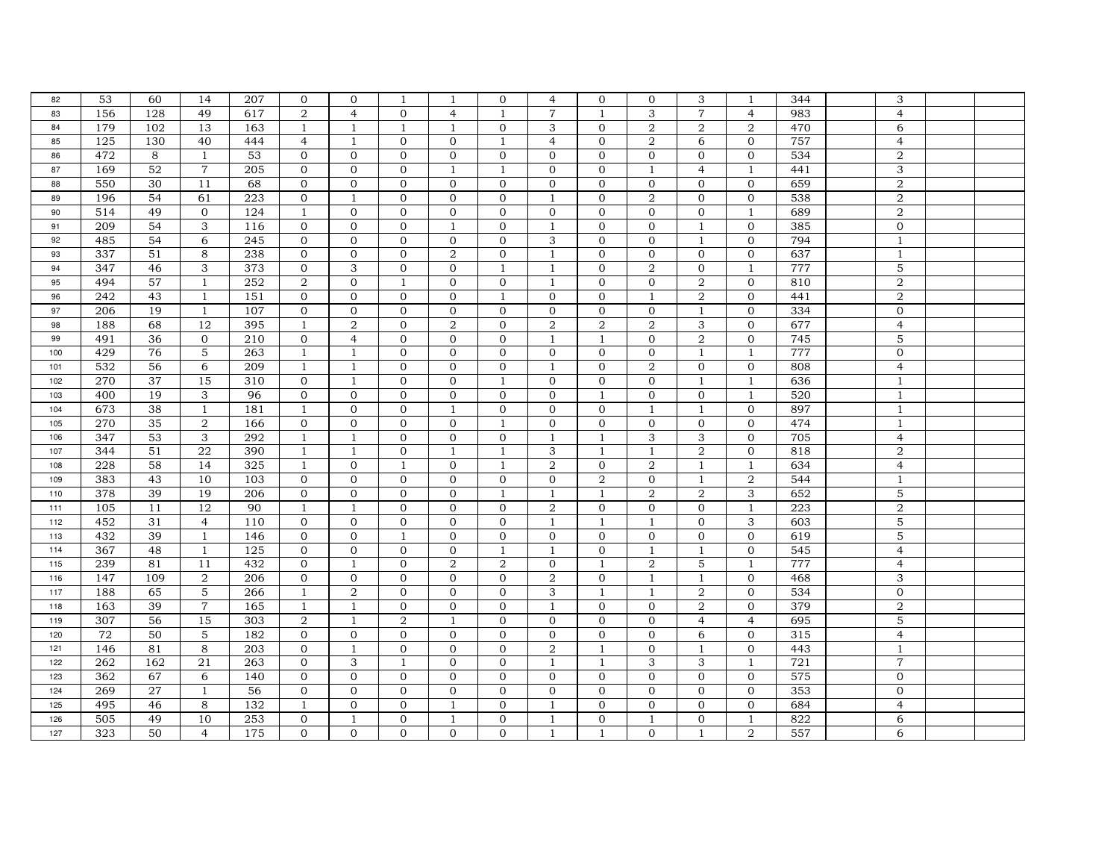| 82  | 53  | 60  | 14             | 207 | $\mathbf{0}$     | $\mathbf{0}$              | 1              | -1             | $\mathbf{0}$   | 4                | $\mathbf{0}$   | $\mathbf{0}$   | 3                         | 1                         | 344 | 3                         |  |
|-----|-----|-----|----------------|-----|------------------|---------------------------|----------------|----------------|----------------|------------------|----------------|----------------|---------------------------|---------------------------|-----|---------------------------|--|
| 83  | 156 | 128 | 49             | 617 | $\overline{2}$   | $\overline{4}$            | $\Omega$       | $\overline{4}$ | $\mathbf{1}$   | $\overline{7}$   | $\mathbf{1}$   | 3              | $\overline{7}$            | $\overline{4}$            | 983 | $\overline{4}$            |  |
| 84  | 179 | 102 | 13             | 163 | $\mathbf{1}$     | 1                         | 1              |                | $\mathbf 0$    | 3                | $\mathbf{0}$   | 2              | $\boldsymbol{2}$          | $\boldsymbol{2}$          | 470 | 6                         |  |
| 85  | 125 | 130 | 40             | 444 | $\overline{4}$   | $\mathbf{1}$              | $\mathbf{0}$   | $\mathbf{0}$   | -1             | $\overline{4}$   | $\mathbf{0}$   | 2              | 6                         | $\mathbf{0}$              | 757 | $\overline{4}$            |  |
| 86  | 472 | 8   | $\mathbf{1}$   | 53  | $\mathbf 0$      | $\mathbf{0}$              | $\mathbf{0}$   | $\mathbf{0}$   | $\mathbf 0$    | $\mathbf{0}$     | $\mathbf{0}$   | $\overline{0}$ | $\mathbf{0}$              | $\mathbf{0}$              | 534 | $\,2$                     |  |
| 87  | 169 | 52  | $\overline{7}$ | 205 | $\mathbf 0$      | $\mathbf 0$               | $\mathbf 0$    | 1              | 1              | $\mathbf{0}$     | $\mathbf{0}$   | 1              | $\overline{4}$            | $\mathbf{1}$              | 441 | 3                         |  |
| 88  | 550 | 30  | 11             | 68  | $\mathbf{O}$     | $\Omega$                  | $\Omega$       | $\Omega$       | $\Omega$       | $\Omega$         | $\Omega$       | $\Omega$       | $\Omega$                  | $\Omega$                  | 659 | $\overline{2}$            |  |
| 89  | 196 | 54  | 61             | 223 | $\mathbf 0$      | 1                         | $\mathbf{0}$   | $\mathbf{0}$   | $\mathbf{0}$   | -1               | $\mathbf{0}$   | 2              | $\mathbf{0}$              | $\mathbf{0}$              | 538 | $\sqrt{2}$                |  |
| 90  | 514 | 49  | $\overline{0}$ | 124 | 1                | $\mathbf{0}$              | $\mathbf{0}$   | $\mathbf{0}$   | $\mathbf{0}$   | $\Omega$         | $\Omega$       | $\mathbf{0}$   | $\mathbf{0}$              | $\mathbf{1}$              | 689 | $\overline{2}$            |  |
| 91  | 209 | 54  | 3              | 116 | $\mathbf 0$      | $\mathbf{0}$              | $\mathbf{0}$   | -1             | $\mathbf{0}$   | 1                | $\mathbf{0}$   | $\mathbf{0}$   | 1                         | $\mathbf 0$               | 385 | $\mathbf 0$               |  |
| 92  | 485 | 54  | 6              | 245 | $\mathbf{0}$     | $\mathbf 0$               | $\mathbf 0$    | $\mathbf{0}$   | $\mathbf{0}$   | 3                | $\mathbf{0}$   | $\mathbf{0}$   | $\mathbf{1}$              | $\mathbf{0}$              | 794 | $\overline{1}$            |  |
| 93  | 337 | 51  | 8              | 238 | $\mathbf 0$      | $\mathbf 0$               | $\mathbf 0$    | $\,2$          | $\overline{0}$ | $\overline{1}$   | $\overline{0}$ | $\mathbf{0}$   | $\mathbf{0}$              | $\mathbf 0$               | 637 | $\mathbf{1}$              |  |
| 94  | 347 | 46  | 3              | 373 | $\mathbf{0}$     | $\ensuremath{\mathsf{3}}$ | $\overline{0}$ | $\mathbf{0}$   | $\overline{1}$ | $\overline{1}$   | $\Omega$       | $\overline{2}$ | $\mathbf{0}$              | $\mathbf{1}$              | 777 | $\mathbf 5$               |  |
| 95  | 494 | 57  | $\mathbf{1}$   | 252 | $\boldsymbol{2}$ | $\mathbf{0}$              | $\mathbf{1}$   | $\overline{0}$ | $\mathbf{0}$   | -1               | $\mathbf{0}$   | $\mathbf{0}$   | 2                         | $\mathbf{0}$              | 810 | $\overline{2}$            |  |
| 96  | 242 | 43  | $\mathbf{1}$   | 151 | $\mathbf{0}$     | $\mathbf{0}$              | $\mathbf{0}$   | $\mathbf{0}$   | $\overline{1}$ | $\mathbf{0}$     | $\mathbf{0}$   | $\mathbf{1}$   | $\overline{2}$            | $\mathbf{0}$              | 441 | $\overline{2}$            |  |
| 97  | 206 | 19  | 1              | 107 | $\mathbf{O}$     | $\mathbf{0}$              | $\mathbf{0}$   | $\mathbf{0}$   | $\mathbf{0}$   | $\mathbf{0}$     | $\mathbf{0}$   | $\mathbf{0}$   | $\mathbf{1}$              | $\mathbf{0}$              | 334 | $\mathbf{0}$              |  |
| 98  | 188 | 68  | 12             | 395 | $\mathbf{1}$     | $\,2$                     | $\mathbf 0$    | 2              | $\mathbf 0$    | $\overline{2}$   | $\overline{a}$ | $\overline{a}$ | $\ensuremath{\mathsf{3}}$ | $\mathbf 0$               | 677 | $\overline{4}$            |  |
| 99  | 491 | 36  | $\overline{0}$ | 210 | $\mathbf 0$      | $\overline{4}$            | $\mathbf{0}$   | $\mathbf{0}$   | $\mathbf{0}$   | 1                | $\mathbf{1}$   | $\mathbf{0}$   | $\,2$                     | $\mathbf{0}$              | 745 | 5                         |  |
| 100 | 429 | 76  | 5              | 263 | $\overline{1}$   | $\mathbf{1}$              | $\mathbf{0}$   | $\mathbf{0}$   | $\mathbf{0}$   | $\Omega$         | $\mathbf{0}$   | $\overline{0}$ | $\mathbf{1}$              | -1                        | 777 | $\mathbf{0}$              |  |
| 101 | 532 | 56  | 6              | 209 | $\mathbf{1}$     | $\mathbf{1}$              | $\mathbf{0}$   | $\Omega$       | $\Omega$       | $\mathbf{1}$     | $\Omega$       | $\overline{2}$ | $\mathbf{0}$              | $\mathbf{0}$              | 808 | $\overline{4}$            |  |
| 102 | 270 | 37  | 15             | 310 | $\mathbf 0$      | $\mathbf{1}$              | $\mathbf{0}$   | $\mathbf{0}$   | $\mathbf{1}$   | $\Omega$         | $\Omega$       | $\Omega$       | $\mathbf{1}$              | $\mathbf{1}$              | 636 | $\mathbf{1}$              |  |
| 103 | 400 | 19  | 3              | 96  | $\mathbf 0$      | $\mathbf{0}$              | $\mathbf 0$    | $\mathbf{0}$   | $\mathbf 0$    | $\mathbf{0}$     | $\mathbf{1}$   | $\overline{0}$ | $\mathbf{0}$              | $\mathbf{1}$              | 520 | $\mathbf{1}$              |  |
| 104 | 673 | 38  | $\mathbf{1}$   | 181 | $\mathbf{1}$     | $\mathbf{0}$              | $\mathbf{0}$   | 1              | $\mathbf 0$    | $\overline{0}$   | $\overline{0}$ | $\mathbf{1}$   | $\mathbf{1}$              | $\mathbf{0}$              | 897 | $\mathbf{1}$              |  |
| 105 | 270 | 35  | 2              | 166 | $\mathbf 0$      | $\mathbf 0$               | $\mathbf 0$    | $\mathbf{0}$   | $\mathbf{1}$   | $\mathbf{0}$     | $\mathbf 0$    | $\mathbf{0}$   | $\mathbf{0}$              | $\mathbf{0}$              | 474 | $\mathbf{1}$              |  |
| 106 | 347 | 53  | 3              | 292 | $\overline{1}$   | $\mathbf{1}$              | $\Omega$       | $\Omega$       | $\Omega$       | $\overline{1}$   | $\mathbf{1}$   | 3              | 3                         | $\Omega$                  | 705 | $\overline{4}$            |  |
| 107 | 344 | 51  | 22             | 390 | $\mathbf{1}$     | $\mathbf{1}$              | $\mathbf 0$    |                | -1             | 3                | $\mathbf{1}$   |                | $\overline{2}$            | $\mathbf{O}$              | 818 | $\overline{2}$            |  |
| 108 | 228 | 58  | 14             | 325 | 1                | $\mathbf{0}$              | $\mathbf{1}$   | $\mathbf{0}$   | $\mathbf{1}$   | $\overline{2}$   | $\Omega$       | 2              | $\mathbf{1}$              | $\mathbf{1}$              | 634 | $\overline{4}$            |  |
| 109 | 383 | 43  | 10             | 103 | $\mathbf 0$      | $\mathbf 0$               | $\mathbf{O}$   | $\mathbf{0}$   | $\mathbf{0}$   | $\mathbf{0}$     | $\overline{2}$ | $\mathbf{0}$   | 1                         | $\overline{a}$            | 544 | $\mathbf{1}$              |  |
| 110 | 378 | 39  | 19             | 206 | $\mathbf 0$      | $\mathbf{0}$              | $\mathbf{0}$   | $\mathbf{0}$   | $\overline{1}$ | $\mathbf{1}$     | $\mathbf{1}$   | 2              | $\overline{2}$            | 3                         | 652 | 5                         |  |
| 111 | 105 | 11  | 12             | 90  | $\mathbf{1}$     | $\mathbf{1}$              | $\mathbf{0}$   | $\mathbf{0}$   | $\mathbf{0}$   | 2                | $\mathbf{0}$   | $\mathbf{0}$   | $\mathbf{0}$              | $\mathbf{1}$              | 223 | $\,2$                     |  |
| 112 | 452 | 31  | $\overline{4}$ | 110 | $\mathbf 0$      | $\mathbf 0$               | $\mathbf{0}$   | $\mathbf{0}$   | $\mathbf 0$    | 1                | $\mathbf{1}$   | $\mathbf{1}$   | $\mathbf{0}$              | $\ensuremath{\mathsf{3}}$ | 603 | $\mathbf 5$               |  |
| 113 | 432 | 39  | $\mathbf{1}$   | 146 | $\mathbf{0}$     | $\mathbf{0}$              | 1              | $\mathbf{0}$   | $\mathbf{0}$   | $\Omega$         | $\mathbf{0}$   | $\mathbf{0}$   | $\mathbf{0}$              | $\mathbf{0}$              | 619 | 5                         |  |
| 114 | 367 | 48  | $\mathbf{1}$   | 125 | $\mathbf{O}$     | $\mathbf{0}$              | $\mathbf{0}$   | $\mathbf{0}$   | $\overline{1}$ | $\overline{1}$   | $\mathbf{0}$   | $\mathbf{1}$   | $\mathbf{1}$              | $\mathbf{0}$              | 545 | $\overline{4}$            |  |
| 115 | 239 | 81  | 11             | 432 | $\mathbf{0}$     | 1                         | $\mathbf{0}$   | 2              | $\overline{2}$ | $\mathbf{0}$     | $\mathbf{1}$   | 2              | 5                         | 1                         | 777 | $\overline{4}$            |  |
| 116 | 147 | 109 | 2              | 206 | $\mathbf 0$      | $\mathbf{0}$              | $\mathbf{O}$   | $\mathbf{0}$   | $\mathbf{0}$   | $\boldsymbol{2}$ | $\mathbf{0}$   | $\overline{1}$ | $\mathbf{1}$              | $\mathbf{0}$              | 468 | $\ensuremath{\mathsf{3}}$ |  |
| 117 | 188 | 65  | 5              | 266 | $\mathbf{1}$     | $\,2$                     | $\mathbf{0}$   | $\mathbf{0}$   | $\mathbf{0}$   | 3                | $\mathbf{1}$   | $\mathbf{1}$   | $\boldsymbol{2}$          | $\mathbf 0$               | 534 | $\mathbf 0$               |  |
| 118 | 163 | 39  | $\overline{7}$ | 165 | 1                | $\mathbf{1}$              | $\mathbf 0$    | $\mathbf{0}$   | $\mathbf{0}$   | $\mathbf{1}$     | $\mathbf{0}$   | $\overline{0}$ | $\boldsymbol{2}$          | $\mathbf{0}$              | 379 | $\sqrt{2}$                |  |
| 119 | 307 | 56  | 15             | 303 | $\overline{2}$   | $\mathbf{1}$              | $\overline{2}$ | $\mathbf{1}$   | $\mathbf{0}$   | $\mathbf{0}$     | $\Omega$       | $\mathbf{0}$   | $\overline{4}$            | $\overline{4}$            | 695 | 5                         |  |
| 120 | 72  | 50  | 5              | 182 | $\mathbf{0}$     | $\mathbf 0$               | $\mathbf{0}$   | $\mathbf{0}$   | $\mathbf{0}$   | $\mathbf{0}$     | $\mathbf{0}$   | $\mathbf{0}$   | 6                         | $\mathbf{0}$              | 315 | $\overline{4}$            |  |
| 121 | 146 | 81  | 8              | 203 | $\mathbf{0}$     | $\mathbf{1}$              | $\mathbf{0}$   | $\mathbf{0}$   | $\Omega$       | $\overline{2}$   | $\mathbf{1}$   | $\mathbf{0}$   | $\overline{1}$            | $\mathbf{0}$              | 443 | $\mathbf{1}$              |  |
| 122 | 262 | 162 | 21             | 263 | $\mathbf{O}$     | 3                         | $\mathbf{1}$   | $\mathbf{0}$   | $\mathbf{0}$   | $\mathbf{1}$     | $\mathbf{1}$   | 3              | 3                         | $\mathbf{1}$              | 721 | $\overline{7}$            |  |
| 123 | 362 | 67  | 6              | 140 | $\boldsymbol{0}$ | $\mathbf{0}$              | $\mathbf{0}$   | $\mathbf{0}$   | $\mathbf{0}$   | $\mathbf{0}$     | $\mathbf{0}$   | $\mathbf{0}$   | $\mathbf{0}$              | $\mathbf{0}$              | 575 | $\mathbf 0$               |  |
| 124 | 269 | 27  | $\mathbf{1}$   | 56  | $\mathbf 0$      | $\mathbf 0$               | $\mathbf 0$    | $\mathbf{0}$   | $\mathbf{0}$   | $\mathbf{0}$     | $\mathbf{0}$   | $\mathbf{0}$   | $\mathbf{0}$              | $\mathbf 0$               | 353 | $\mathbf{0}$              |  |
| 125 | 495 | 46  | 8              | 132 | $\mathbf{1}$     | $\mathbf{0}$              | $\mathbf{0}$   | $\mathbf{1}$   | $\mathbf{0}$   | $\mathbf{1}$     | $\Omega$       | $\Omega$       | $\mathbf{0}$              | $\mathbf{0}$              | 684 | $\overline{4}$            |  |
| 126 | 505 | 49  | 10             | 253 | $\mathbf 0$      | $\mathbf{1}$              | $\mathbf{0}$   | -1             | $\mathbf{0}$   | -1               | $\mathbf{0}$   | -1             | $\mathbf{0}$              | $\mathbf{1}$              | 822 | 6                         |  |
| 127 | 323 | 50  | $\overline{4}$ | 175 | $\mathbf 0$      | $\overline{0}$            | $\mathbf{0}$   | $\mathbf{0}$   | $\mathbf{0}$   | $\mathbf{1}$     | $\mathbf{1}$   | $\mathbf{0}$   | $\mathbf{1}$              | $\overline{2}$            | 557 | 6                         |  |
|     |     |     |                |     |                  |                           |                |                |                |                  |                |                |                           |                           |     |                           |  |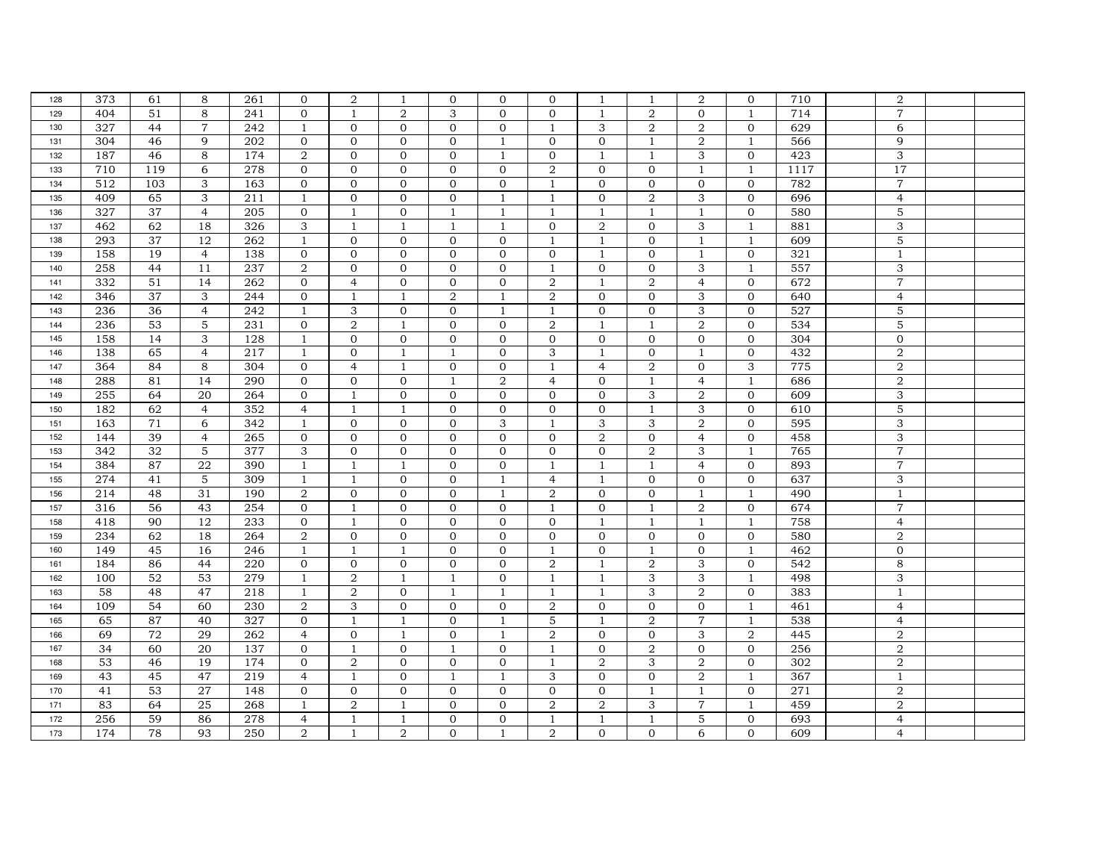| 128        | 373             | 61       | 8              | 261              | $\mathbf{0}$              | $\overline{2}$ | 1            | $\mathbf{0}$   | $\mathbf{0}$                 | $\Omega$       | 1              | $\mathbf{1}$   | $\overline{2}$            | $\overline{0}$ | 710  | $\overline{2}$                   |  |
|------------|-----------------|----------|----------------|------------------|---------------------------|----------------|--------------|----------------|------------------------------|----------------|----------------|----------------|---------------------------|----------------|------|----------------------------------|--|
| 129        | 404             | 51       | 8              | 241              | $\mathbf{0}$              | $\mathbf{1}$   | 2            | 3              | $\Omega$                     | $\Omega$       | $\mathbf{1}$   | 2              | $\Omega$                  | $\mathbf{1}$   | 714  | $\overline{7}$                   |  |
| 130        | 327             | 44       | $\overline{7}$ | 242              | $\mathbf{1}$              | $\mathbf{0}$   | $\mathbf{0}$ | $\overline{0}$ | $\mathbf{0}$                 | 1              | 3              | 2              | $\overline{2}$            | $\mathbf{0}$   | 629  | 6                                |  |
| 131        | 304             | 46       | 9              | 202              | $\mathbf{0}$              | $\mathbf{0}$   | $\mathbf{0}$ | $\mathbf{0}$   | $\mathbf{1}$                 | $\mathbf{0}$   | $\mathbf{0}$   | $\mathbf{1}$   | $\overline{2}$            | $\mathbf{1}$   | 566  | 9                                |  |
| 132        | 187             | 46       | 8              | 174              | $\overline{2}$            | $\mathbf{0}$   | $\mathbf{0}$ | $\mathbf{0}$   | $\mathbf{1}$                 | $\overline{0}$ | $\mathbf{1}$   | $\mathbf{1}$   | 3                         | $\mathbf{0}$   | 423  | $\mathbf{3}$                     |  |
| 133        | 710             | 119      | 6              | 278              | $\mathbf{0}$              | $\mathbf{0}$   | $\mathbf{0}$ | $\Omega$       | $\Omega$                     | 2              | $\Omega$       | $\Omega$       | $\overline{1}$            | $\mathbf{1}$   | 1117 | 17                               |  |
| 134        | 512             | 103      | 3              | 163              | $\mathbf{0}$              | $\mathbf{0}$   | $\mathbf{0}$ | $\Omega$       | $\Omega$                     | $\mathbf{1}$   | $\Omega$       | $\Omega$       | $\mathbf{O}$              | $\mathbf{0}$   | 782  | $\overline{7}$                   |  |
| 135        | 409             | 65       | 3              | 211              | $\mathbf{1}$              | $\mathbf{0}$   | $\mathbf{O}$ | $\mathbf{0}$   | $\overline{1}$               | $\mathbf{1}$   | $\Omega$       | 2              | 3                         | $\mathbf{0}$   | 696  | $\overline{4}$                   |  |
| 136        | 327             | 37       | $\overline{4}$ | $\overline{205}$ | $\mathbf{0}$              | $\mathbf{1}$   | $\mathbf{0}$ | 1              | 1                            | 1              | $\mathbf{1}$   | $\mathbf{1}$   | $\mathbf{1}$              | $\mathbf{0}$   | 580  | 5                                |  |
| 137        | 462             | 62       | 18             | 326              | 3                         | $\mathbf{1}$   | $\mathbf{1}$ | $\mathbf{1}$   | $\overline{1}$               | $\overline{0}$ | 2              | $\overline{0}$ | 3                         | $\mathbf{1}$   | 881  | $\ensuremath{\mathsf{3}}$        |  |
| 138        | 293             | 37       | 12             | 262              | 1                         | $\mathbf{0}$   | $\mathbf{0}$ | $\mathbf{0}$   | $\Omega$                     | $\mathbf{1}$   | $\mathbf{1}$   | $\mathbf{0}$   | $\mathbf{1}$              | 1              | 609  | $\mathbf 5$                      |  |
| 139        | 158             | 19       | $\overline{4}$ | 138              | $\mathbf{0}$              | $\mathbf{0}$   | $\mathbf{0}$ | $\Omega$       | $\Omega$                     | $\Omega$       | $\mathbf{1}$   | $\Omega$       | $\mathbf{1}$              | $\mathbf{0}$   | 321  | $\overline{1}$                   |  |
| 140        | 258             | 44       | 11             | 237              | $\overline{2}$            | $\mathbf{0}$   | $\mathbf{0}$ | $\mathbf{0}$   | $\mathbf{0}$                 | 1              | $\mathbf{0}$   | $\mathbf{0}$   | 3                         | $\mathbf{1}$   | 557  | 3                                |  |
| 141        | 332             | 51       | 14             | 262              | $\mathbf{0}$              | $\overline{4}$ | $\mathbf{0}$ | $\overline{0}$ | $\mathbf{0}$                 | 2              | $\mathbf{1}$   | 2              | $\overline{4}$            | $\overline{0}$ | 672  | $\overline{7}$                   |  |
| 142        | 346             | 37       | 3              | 244              | $\mathbf 0$               | $\mathbf{1}$   | $\mathbf{1}$ | 2              | $\overline{1}$               | 2              | $\mathbf{0}$   | $\mathbf{0}$   | 3                         | $\mathbf{0}$   | 640  | $\overline{4}$                   |  |
| 143        | 236             | 36       | $\overline{4}$ | 242              | $\mathbf{1}$              | 3              | $\mathbf 0$  | $\mathbf{0}$   | 1                            | 1              | $\mathbf{0}$   | $\mathbf{0}$   | 3                         | $\mathbf{0}$   | 527  | 5                                |  |
| 144        | 236             | 53       | 5              | 231              | $\mathbf{0}$              | $\overline{a}$ | $\mathbf{1}$ | $\Omega$       | $\Omega$                     | 2              | $\mathbf{1}$   | $\mathbf{1}$   | $\overline{2}$            | $\Omega$       | 534  | 5                                |  |
| 145        | 158             | 14       | 3              | 128              | $\mathbf{1}$              | $\mathbf{0}$   | $\mathbf{0}$ | $\mathbf{0}$   | $\mathbf{0}$                 | $\mathbf{0}$   | $\mathbf{0}$   | $\mathbf{0}$   | $\mathbf{0}$              | $\mathbf{0}$   | 304  | $\mathbf{0}$                     |  |
| 146        | 138             | 65       | $\overline{4}$ | 217              | 1                         | $\overline{0}$ | $\mathbf{1}$ | $\mathbf{1}$   | $\mathbf{0}$                 | 3              | $\mathbf{1}$   | $\mathbf{0}$   | $\mathbf{1}$              | $\overline{0}$ | 432  | $\overline{2}$                   |  |
| 147        | 364             | 84       | 8              | 304              | $\mathbf{0}$              | $\overline{4}$ | $\mathbf{1}$ | $\mathbf{0}$   | $\mathbf{0}$                 | $\mathbf{1}$   | $\overline{4}$ | 2              | $\mathbf{O}$              | 3              | 775  | $\overline{2}$                   |  |
| 148        | 288             | 81       | 14             | 290              | $\mathbf 0$               | $\mathbf{0}$   | $\mathbf{0}$ | $\mathbf{1}$   | $\overline{2}$               | $\overline{4}$ | $\mathbf{0}$   | $\mathbf{1}$   | $\overline{4}$            | $\mathbf{1}$   | 686  | $\overline{2}$                   |  |
| 149        | 255             | 64       | 20             | 264              | $\mathbf 0$               | $\overline{1}$ | $\mathbf 0$  | $\Omega$       | $\Omega$                     | $\Omega$       | $\Omega$       | 3              | $\,2$                     | $\mathbf 0$    | 609  | $\sqrt{3}$                       |  |
| 150        | 182             | 62       | $\overline{4}$ | 352              | $\overline{4}$            | $\mathbf{1}$   | $\mathbf{1}$ | $\mathbf{0}$   | $\mathbf{0}$                 | $\mathbf{0}$   | $\mathbf{0}$   | $\mathbf{1}$   | 3                         | $\mathbf{0}$   | 610  | 5                                |  |
| 151        | 163             | 71       | 6              | 342              | $\mathbf{1}$              | $\mathbf{0}$   | $\mathbf{0}$ | $\mathbf{0}$   | 3                            | $\mathbf{1}$   | 3              | 3              | $\overline{2}$            | $\mathbf{0}$   | 595  | 3                                |  |
| 152        | 144             | 39       | $\overline{4}$ | $\overline{265}$ | $\mathbf{O}$              | $\mathbf{O}$   | $\mathbf{0}$ | $\mathbf{0}$   | $\Omega$                     | $\mathbf{0}$   | $\overline{2}$ | $\mathbf{0}$   | $\overline{4}$            | $\mathbf{0}$   | 458  | $\overline{3}$                   |  |
| 153        | 342             | 32       | 5              | 377              | $\ensuremath{\mathsf{3}}$ | $\mathbf 0$    | $\mathbf 0$  | $\mathbf{O}$   | $\mathbf{0}$                 | $\mathbf{0}$   | $\overline{0}$ | 2              | $\ensuremath{\mathsf{3}}$ | $\mathbf{1}$   | 765  | $\overline{7}$                   |  |
| 154        | 384             | 87       | ${\bf 22}$     | 390              | $\mathbf{1}$              | $\mathbf{1}$   | $1\,$        | $\mathbf{0}$   | $\mathbf{0}$                 | $\mathbf{1}$   | $\mathbf{1}$   | $\mathbf{1}$   | $\overline{4}$            | $\mathbf 0$    | 893  | $\overline{7}$                   |  |
| 155        | 274             | 41       | 5              | 309              | $\mathbf{1}$              | $\mathbf{1}$   | $\mathbf{0}$ | $\mathbf{0}$   | $\mathbf{1}$                 | $\overline{4}$ | $\mathbf{1}$   | $\Omega$       | $\mathbf{0}$              | $\overline{0}$ | 637  | 3                                |  |
| 156        | 214             | 48       | 31             | 190              | 2                         | $\mathbf{0}$   | $\mathbf{0}$ | $\mathbf{0}$   | $\mathbf{1}$                 | 2              | $\Omega$       | $\mathbf{0}$   | $\mathbf{1}$              | $\mathbf{1}$   | 490  | $\mathbf{1}$                     |  |
| 157        | 316             | 56       | 43             | 254              | $\mathbf{0}$              | $\mathbf{1}$   | $\mathbf{0}$ | $\mathbf{0}$   | $\mathbf{0}$                 | $\mathbf{1}$   | $\mathbf{0}$   | $\mathbf{1}$   | $\overline{2}$            | $\mathbf 0$    | 674  | $\overline{7}$                   |  |
| 158        | 418             | 90       | 12             | 233              | $\mathbf{O}$              | $1\,$          | $\mathbf 0$  | $\mathbf{0}$   | $\mathbf{0}$                 | $\mathbf{0}$   | $\mathbf{1}$   | $\mathbf{1}$   | $\overline{1}$            | $\mathbf{1}$   | 758  | $\overline{4}$                   |  |
| 159        | 234             | 62       | 18             | 264              | $\overline{2}$            | $\mathbf{0}$   | $\mathbf 0$  | $\mathbf{0}$   | $\mathbf 0$                  | $\mathbf{0}$   | $\mathbf{0}$   | $\overline{0}$ | $\mathbf 0$               | $\mathbf{0}$   | 580  | $\overline{2}$                   |  |
| 160        | 149             | 45       | 16             | 246              | $\mathbf{1}$              | $\mathbf{1}$   | $\mathbf{1}$ | $\Omega$       | $\Omega$                     | $\mathbf{1}$   | $\mathbf{0}$   | $\mathbf{1}$   | $\mathbf{0}$              | $\mathbf{1}$   | 462  | $\mathbf{0}$                     |  |
| 161        | 184             | 86       | 44             | 220              | $\mathbf{0}$              | $\mathbf{0}$   | $\mathbf 0$  | $\mathbf{0}$   | $\Omega$                     | $\overline{2}$ | 1              | $\overline{2}$ | 3                         | $\mathbf{0}$   | 542  | 8                                |  |
| 162        | 100             | 52       | 53             | 279              | $\mathbf{1}$              | $\overline{2}$ | $\mathbf{1}$ | $\mathbf{1}$   | $\Omega$                     | $\mathbf{1}$   | $\mathbf{1}$   | 3              | 3                         | $\mathbf{1}$   | 498  | 3                                |  |
| 163        | 58              | 48       | 47             | 218              | $\mathbf{1}$              | $\,2$          | $\mathbf 0$  | $\mathbf{1}$   | $\mathbf{1}$                 | $\mathbf{1}$   | $\mathbf{1}$   | 3              | $\overline{2}$            | $\mathbf 0$    | 383  | $\mathbf{1}$                     |  |
| 164        | 109             | 54       | 60             | 230              | $\overline{2}$            | 3              | $\mathbf{0}$ | $\overline{0}$ | $\mathbf{0}$                 | $\overline{2}$ | $\mathbf{0}$   | $\overline{0}$ | $\mathbf{0}$              | $\mathbf{1}$   | 461  | $\overline{4}$                   |  |
| 165        | 65              | 87       | 40             | 327              | $\mathbf 0$               | $\mathbf{1}$   | $\mathbf{1}$ | $\mathbf{0}$   | $\mathbf{1}$                 | 5              | 1              | 2              | $\overline{7}$            | $\mathbf{1}$   | 538  | $\overline{4}$                   |  |
| 166        | 69              | 72       | 29             | 262              | $\overline{4}$            | $\mathbf{0}$   | $\mathbf{1}$ | $\mathbf{0}$   | $\overline{1}$               | $\overline{2}$ | $\mathbf{0}$   | $\mathbf{0}$   | 3                         | $\overline{2}$ | 445  | $\overline{2}$                   |  |
| 167        | 34              | 60       | 20             | 137              | $\mathbf{0}$              | $\mathbf{1}$   | $\Omega$     | $\mathbf{1}$   | $\Omega$                     | $\mathbf{1}$   | $\Omega$       | 2              | $\mathbf{0}$              | $\Omega$       | 256  | $\overline{2}$                   |  |
| 168        | $\overline{53}$ | 46       | 19             | 174              | $\mathbf{O}$              | $\overline{2}$ | $\mathbf{0}$ | $\mathbf{0}$   | $\mathbf{0}$                 | $\mathbf{1}$   | $\overline{2}$ | 3              | $\overline{2}$            | $\mathbf{0}$   | 302  | $\overline{2}$                   |  |
| 169        | 43              | 45       | 47             | 219              | $\overline{4}$            | $\mathbf{1}$   | $\mathbf{0}$ | $\mathbf{1}$   | $\mathbf{1}$                 | 3              | $\mathbf{0}$   | $\overline{0}$ | $\boldsymbol{2}$          | $\mathbf{1}$   | 367  | $\mathbf{1}$                     |  |
| 170        | 41              | 53       | 27             | 148              | $\mathbf 0$               | $\mathbf 0$    | $\mathbf 0$  | $\mathbf{0}$   | $\mathbf{0}$                 | $\mathbf{0}$   | $\mathbf{0}$   | $\mathbf{1}$   | $\mathbf{1}$              | $\mathbf{0}$   | 271  | $\overline{2}$                   |  |
| 171        | 83              | 64       | 25             | 268              | $\mathbf{1}$              | $\overline{2}$ | $\mathbf{1}$ | $\Omega$       | $\Omega$                     | $\overline{2}$ | $\overline{2}$ | 3              | $\overline{7}$            | $\mathbf{1}$   | 459  | $\overline{2}$                   |  |
|            |                 |          |                |                  |                           |                |              |                |                              |                |                |                |                           | $\mathbf{0}$   | 693  |                                  |  |
| 172<br>173 | 256             | 59<br>78 | 86             | 278              | $\overline{4}$            | $\mathbf{1}$   | 1            | $\mathbf{O}$   | $\mathbf{0}$<br>$\mathbf{1}$ | 1              | 1              | 1              | 5                         | $\overline{0}$ |      | $\overline{4}$<br>$\overline{4}$ |  |
|            | 174             |          | 93             | 250              | $\overline{2}$            | $\mathbf{1}$   | 2            | $\overline{0}$ |                              | 2              | $\mathbf{0}$   | $\overline{0}$ | 6                         |                | 609  |                                  |  |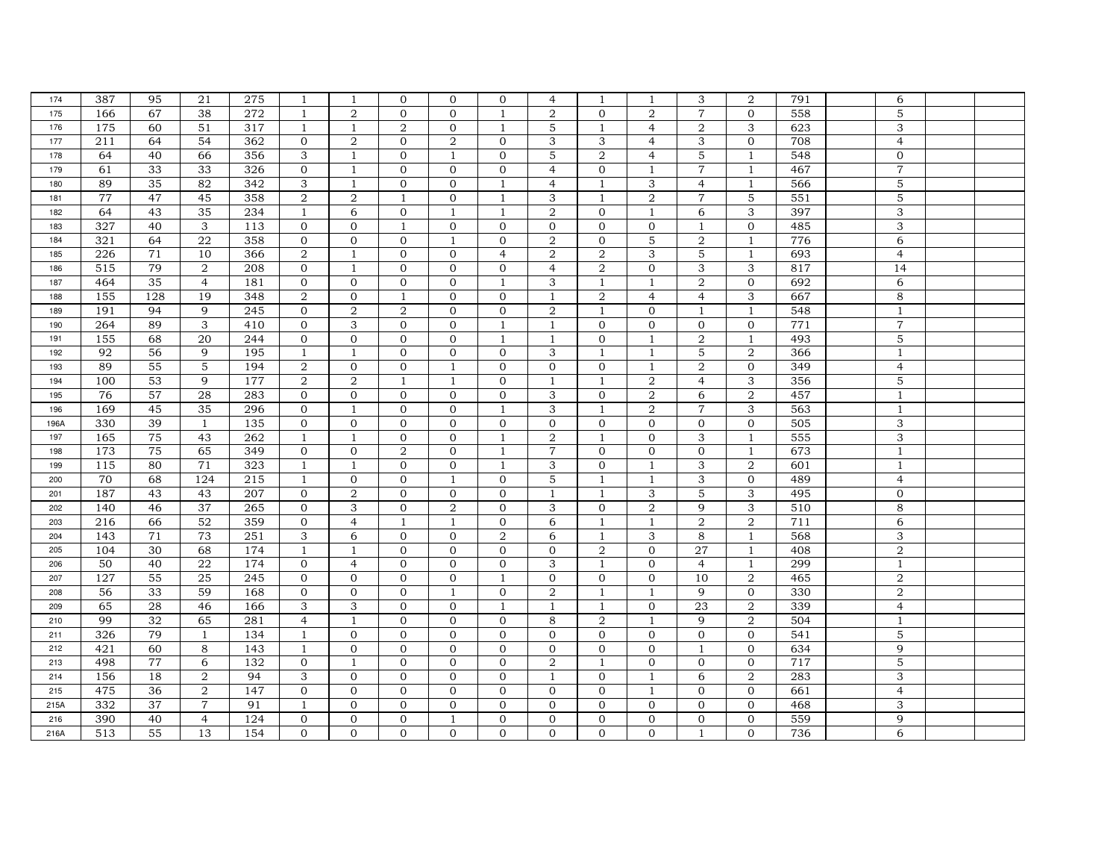| 174  | 387 | 95  | 21             | 275 | $\overline{1}$            | $\overline{1}$   | $\mathbf{0}$   | $\mathbf{0}$ | $\mathbf{0}$   | $\overline{4}$ |                | -1             | 3                | 2              | 791 | 6                         |  |
|------|-----|-----|----------------|-----|---------------------------|------------------|----------------|--------------|----------------|----------------|----------------|----------------|------------------|----------------|-----|---------------------------|--|
| 175  | 166 | 67  | 38             | 272 | 1                         | $\overline{2}$   | $\mathbf{0}$   | $\Omega$     | $\overline{1}$ | 2              | $\Omega$       | 2              | $\overline{7}$   | $\mathbf{0}$   | 558 | 5                         |  |
| 176  | 175 | 60  | 51             | 317 | $\mathbf{1}$              | $\mathbf{1}$     | $\overline{2}$ | $\mathbf{0}$ | 1              | 5              | $\mathbf{1}$   | $\overline{4}$ | $\boldsymbol{2}$ | 3              | 623 | 3                         |  |
| 177  | 211 | 64  | 54             | 362 | $\mathbf 0$               | $\overline{a}$   | $\mathbf{0}$   | 2            | $\mathbf{0}$   | 3              | 3              | $\overline{4}$ | 3                | $\mathbf{0}$   | 708 | $\overline{4}$            |  |
| 178  | 64  | 40  | 66             | 356 | $\mathbf 3$               | $\mathbf{1}$     | $\mathbf{0}$   | 1            | $\mathbf 0$    | 5              | $\overline{2}$ | $\overline{4}$ | $\mathbf 5$      | $\mathbf{1}$   | 548 | $\mathbf 0$               |  |
| 179  | 61  | 33  | 33             | 326 | $\mathbf{O}$              | $\mathbf{1}$     | $\mathbf{0}$   | $\mathbf{0}$ | $\Omega$       | $\overline{4}$ | $\Omega$       | $\mathbf{1}$   | $\overline{7}$   | $\mathbf{1}$   | 467 | $\overline{7}$            |  |
| 180  | 89  | 35  | 82             | 342 | 3                         | $\mathbf{1}$     | $\mathbf{0}$   | $\Omega$     | $\overline{1}$ | $\overline{4}$ | $\mathbf{1}$   | 3              | $\overline{4}$   | 1              | 566 | 5                         |  |
| 181  | 77  | 47  | 45             | 358 | $\overline{2}$            | $\boldsymbol{2}$ | $\mathbf{1}$   | $\mathbf{0}$ | $\mathbf{1}$   | 3              | $\mathbf{1}$   | 2              | $\overline{7}$   | 5              | 551 | 5                         |  |
| 182  | 64  | 43  | 35             | 234 | $\mathbf{1}$              | 6                | $\mathbf 0$    | -1           | 1              | 2              | $\mathbf{0}$   | $\mathbf{1}$   | 6                | 3              | 397 | 3                         |  |
| 183  | 327 | 40  | 3              | 113 | $\mathbf 0$               | $\mathbf{0}$     | $\mathbf{1}$   | $\mathbf{0}$ | $\mathbf 0$    | $\mathbf{0}$   | $\mathbf{0}$   | $\overline{0}$ | $\mathbf{1}$     | $\mathbf{0}$   | 485 | $\ensuremath{\mathsf{3}}$ |  |
| 184  | 321 | 64  | 22             | 358 | $\mathbf 0$               | $\mathbf 0$      | $\mathbf{0}$   | $\mathbf{1}$ | $\Omega$       | $\overline{2}$ | $\Omega$       | 5              | $\sqrt{2}$       | 1              | 776 | 6                         |  |
| 185  | 226 | 71  | 10             | 366 | $\overline{a}$            | $\mathbf{1}$     | $\mathbf{0}$   | $\mathbf{0}$ | $\overline{4}$ | 2              | 2              | 3              | 5                | $\mathbf{1}$   | 693 | $\overline{4}$            |  |
| 186  | 515 | 79  | $\overline{a}$ | 208 | $\mathbf{O}$              | $\mathbf{1}$     | $\mathbf{0}$   | $\mathbf{0}$ | $\mathbf{0}$   | $\overline{4}$ | 2              | $\overline{0}$ | 3                | 3              | 817 | 14                        |  |
| 187  | 464 | 35  | $\overline{4}$ | 181 | $\mathbf{0}$              | $\overline{0}$   | $\mathbf{0}$   | $\mathbf{0}$ | -1             | 3              | 1              | -1             | 2                | $\mathbf{0}$   | 692 | 6                         |  |
| 188  | 155 | 128 | 19             | 348 | $\overline{2}$            | $\mathbf 0$      | $\mathbf{1}$   | $\mathbf{0}$ | $\mathbf{0}$   | 1              | 2              | $\overline{4}$ | $\overline{4}$   | 3              | 667 | 8                         |  |
| 189  | 191 | 94  | 9              | 245 | $\mathbf 0$               | $\overline{a}$   | $\,2$          | $\mathbf{0}$ | $\mathbf{0}$   | $\overline{2}$ | $\mathbf{1}$   | $\mathbf{0}$   | $\mathbf{1}$     | $\mathbf{1}$   | 548 | $\overline{1}$            |  |
| 190  | 264 | 89  | 3              | 410 | $\mathbf{O}$              | 3                | $\mathbf{0}$   | $\mathbf{0}$ | $\overline{1}$ | $\mathbf{1}$   | $\Omega$       | $\mathbf{0}$   | $\mathbf{0}$     | $\mathbf{0}$   | 771 | $\overline{7}$            |  |
| 191  | 155 | 68  | 20             | 244 | $\mathbf{0}$              | $\mathbf{0}$     | $\mathbf{0}$   | $\mathbf{0}$ | 1              | 1              | $\mathbf{0}$   | $\mathbf{1}$   | $\,2$            | 1              | 493 | 5                         |  |
| 192  | 92  | 56  | 9              | 195 | $\mathbf{1}$              | $\mathbf{1}$     | $\mathbf{0}$   | $\mathbf{0}$ | $\mathbf{0}$   | 3              | $\mathbf{1}$   | -1             | 5                | $\overline{2}$ | 366 | $\mathbf{1}$              |  |
| 193  | 89  | 55  | 5              | 194 | $\overline{a}$            | $\mathbf{0}$     | $\mathbf{0}$   | $\mathbf{1}$ | $\mathbf{0}$   | $\mathbf{0}$   | $\mathbf{0}$   | $\mathbf{1}$   | $\overline{2}$   | $\mathbf{0}$   | 349 | $\overline{4}$            |  |
| 194  | 100 | 53  | 9              | 177 | $\sqrt{2}$                | $\boldsymbol{2}$ | $\mathbf{1}$   | $\mathbf{1}$ | $\mathbf{0}$   | 1              | $\mathbf{1}$   | 2              | $\overline{4}$   | 3              | 356 | 5                         |  |
| 195  | 76  | 57  | 28             | 283 | $\mathbf 0$               | $\mathbf 0$      | $\mathbf 0$    | $\mathbf{0}$ | $\Omega$       | 3              | $\Omega$       | 2              | 6                | $\overline{2}$ | 457 | $\overline{1}$            |  |
| 196  | 169 | 45  | 35             | 296 | $\mathbf 0$               | 1                | $\mathbf{0}$   | $\mathbf{0}$ | $\overline{1}$ | 3              | $\mathbf{1}$   | $\overline{2}$ | $\overline{7}$   | 3              | 563 | $\overline{1}$            |  |
| 196A | 330 | 39  | $\mathbf{1}$   | 135 | $\mathbf 0$               | $\mathbf{0}$     | $\mathbf{0}$   | $\mathbf{0}$ | $\mathbf{0}$   | $\Omega$       | $\mathbf{0}$   | $\overline{0}$ | $\mathbf{0}$     | $\mathbf{0}$   | 505 | 3                         |  |
| 197  | 165 | 75  | 43             | 262 | $\mathbf{1}$              | $\mathbf{1}$     | $\mathbf{O}$   | $\mathbf{0}$ | $\mathbf{1}$   | 2              | $\mathbf{1}$   | $\mathbf{O}$   | 3                | $\mathbf{1}$   | 555 | 3                         |  |
| 198  | 173 | 75  | 65             | 349 | $\mathbf 0$               | $\mathbf 0$      | $\,2$          | $\mathbf{0}$ | 1              | $\overline{7}$ | $\mathbf{0}$   | $\mathbf{0}$   | $\mathbf{0}$     | $\mathbf{1}$   | 673 | $\mathbf{1}$              |  |
| 199  | 115 | 80  | 71             | 323 | $\mathbf{1}$              | $\mathbf{1}$     | $\mathbf{0}$   | $\mathbf{0}$ | $\mathbf{1}$   | 3              | $\mathbf{0}$   | -1             | 3                | $\overline{a}$ | 601 | $\overline{1}$            |  |
| 200  | 70  | 68  | 124            | 215 | $\mathbf{1}$              | $\mathbf{0}$     | $\mathbf{0}$   | 1            | $\mathbf{0}$   | 5              | $\mathbf{1}$   | 1              | 3                | $\mathbf{0}$   | 489 | $\overline{4}$            |  |
| 201  | 187 | 43  | 43             | 207 | $\mathbf{0}$              | $\overline{2}$   | $\mathbf{0}$   | $\mathbf{0}$ | $\mathbf{0}$   | $\overline{1}$ | $\mathbf{1}$   | 3              | 5                | 3              | 495 | $\mathbf{0}$              |  |
| 202  | 140 | 46  | 37             | 265 | $\mathbf{0}$              | 3                | $\mathbf{0}$   | 2            | $\mathbf{0}$   | 3              | $\mathbf{0}$   | 2              | 9                | 3              | 510 | 8                         |  |
| 203  | 216 | 66  | 52             | 359 | $\mathbf 0$               | $\overline{4}$   | $\mathbf{1}$   | $\mathbf{1}$ | $\mathbf{0}$   | 6              | $\mathbf{1}$   | $\mathbf{1}$   | $\overline{2}$   | $\,2$          | 711 | 6                         |  |
| 204  | 143 | 71  | 73             | 251 | $\ensuremath{\mathsf{3}}$ | 6                | $\mathbf{0}$   | $\mathbf{0}$ | $\overline{2}$ | 6              | 1              | 3              | $\,8\,$          | $\mathbf{1}$   | 568 | $\ensuremath{\mathsf{3}}$ |  |
| 205  | 104 | 30  | 68             | 174 | $\overline{1}$            | $\mathbf{1}$     | $\mathbf{0}$   | $\mathbf{0}$ | $\mathbf{0}$   | $\mathbf{0}$   | $\overline{2}$ | $\Omega$       | $\overline{27}$  | $\mathbf{1}$   | 408 | $\,2$                     |  |
| 206  | 50  | 40  | 22             | 174 | $\mathbf{0}$              | $\overline{4}$   | $\mathbf{0}$   | $\mathbf{0}$ | $\mathbf{0}$   | 3              | $\mathbf{1}$   | $\mathbf{0}$   | $\overline{4}$   | 1              | 299 | $\overline{1}$            |  |
| 207  | 127 | 55  | 25             | 245 | $\mathbf{0}$              | $\mathbf{0}$     | $\mathbf{0}$   | $\mathbf{0}$ | $\mathbf{1}$   | $\Omega$       | $\Omega$       | $\Omega$       | 10               | $\overline{2}$ | 465 | $\sqrt{2}$                |  |
| 208  | 56  | 33  | 59             | 168 | $\mathbf 0$               | $\mathbf{O}$     | $\mathbf 0$    | $\mathbf{1}$ | $\overline{0}$ | $\overline{2}$ | $\mathbf{1}$   | 1              | 9                | $\mathbf 0$    | 330 | $\,2$                     |  |
| 209  | 65  | 28  | 46             | 166 | $\ensuremath{\mathsf{3}}$ | 3                | $\mathbf{0}$   | $\mathbf{0}$ | 1              | 1              | $\mathbf{1}$   | $\overline{0}$ | 23               | $\overline{2}$ | 339 | $\overline{4}$            |  |
| 210  | 99  | 32  | 65             | 281 | $\overline{4}$            | $\mathbf{1}$     | $\mathbf 0$    | $\mathbf{0}$ | $\mathbf 0$    | 8              | 2              | 1              | 9                | $\,2$          | 504 | $\mathbf{1}$              |  |
| 211  | 326 | 79  | $\mathbf{1}$   | 134 | $\mathbf{1}$              | $\mathbf{0}$     | $\mathbf{0}$   | $\mathbf{0}$ | $\mathbf{0}$   | $\mathbf{0}$   | $\mathbf{0}$   | $\mathbf{0}$   | $\mathbf{0}$     | $\mathbf{0}$   | 541 | 5                         |  |
| 212  | 421 | 60  | 8              | 143 | 1                         | $\Omega$         | $\mathbf{0}$   | $\Omega$     | $\Omega$       | $\Omega$       | $\Omega$       | $\mathbf{0}$   | $\overline{1}$   | $\mathbf{O}$   | 634 | 9                         |  |
| 213  | 498 | 77  | 6              | 132 | $\mathbf{O}$              | $\mathbf{1}$     | $\mathbf{O}$   | $\mathbf{0}$ | $\mathbf{0}$   | $\overline{2}$ | 1              | $\mathbf{0}$   | $\overline{0}$   | $\mathbf 0$    | 717 | 5                         |  |
| 214  | 156 | 18  | 2              | 94  | $\mathbf 3$               | $\mathbf{0}$     | $\mathbf{0}$   | $\mathbf{0}$ | $\mathbf 0$    | $\mathbf{1}$   | $\mathbf{0}$   | -1             | 6                | $\,2$          | 283 | $\ensuremath{\mathsf{3}}$ |  |
| 215  | 475 | 36  | 2              | 147 | $\mathbf 0$               | $\mathbf 0$      | $\mathbf 0$    | $\mathbf{0}$ | $\mathbf{0}$   | $\mathbf{0}$   | $\mathbf{0}$   | $\overline{1}$ | $\mathbf{0}$     | $\mathbf 0$    | 661 | $\overline{4}$            |  |
| 215A | 332 | 37  | $\overline{7}$ | 91  | $\overline{1}$            | $\mathbf{0}$     | $\mathbf{0}$   | $\mathbf{0}$ | $\mathbf{0}$   | $\mathbf{0}$   | $\Omega$       | $\Omega$       | $\mathbf{0}$     | $\mathbf{0}$   | 468 | 3                         |  |
| 216  | 390 | 40  | $\overline{4}$ | 124 | $\mathbf 0$               | $\mathbf{0}$     | $\mathbf{0}$   |              | $\mathbf{0}$   | $\mathbf{0}$   | $\mathbf{0}$   | $\mathbf{0}$   | $\mathbf{0}$     | $\mathbf{O}$   | 559 | 9                         |  |
| 216A | 513 | 55  | 13             | 154 | $\mathbf 0$               | $\mathbf{O}$     | $\mathbf{O}$   | $\mathbf{0}$ | $\mathbf{0}$   | $\mathbf{O}$   | $\mathbf{O}$   | $\mathbf{0}$   | $\mathbf{1}$     | $\mathbf{0}$   | 736 | 6                         |  |
|      |     |     |                |     |                           |                  |                |              |                |                |                |                |                  |                |     |                           |  |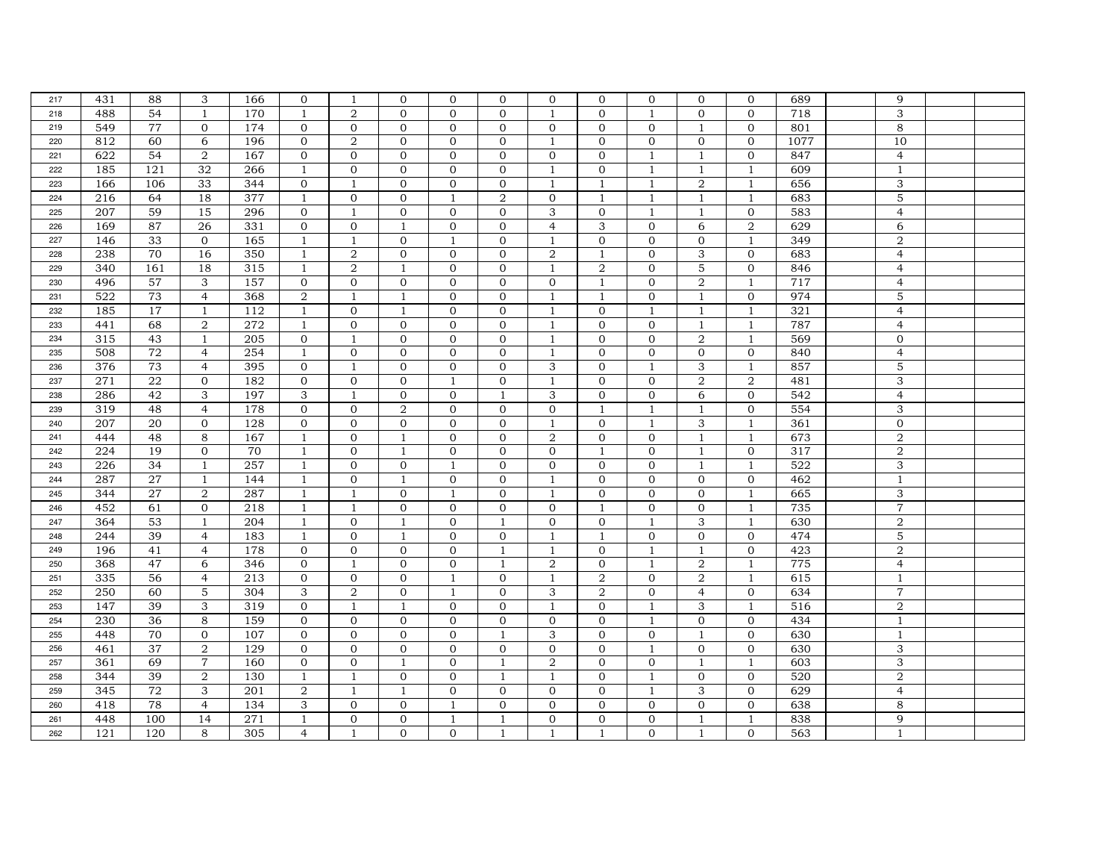| 217 | 431              | 88  | 3              | 166 | $\mathbf{0}$     | $\mathbf{1}$     | $\mathbf{0}$     | $\mathbf{0}$ | $\mathbf{0}$   | $\mathbf{0}$     | $\mathbf{0}$   | $\overline{0}$ | $\mathbf{0}$   | $\mathbf{0}$     | 689  | 9                         |  |
|-----|------------------|-----|----------------|-----|------------------|------------------|------------------|--------------|----------------|------------------|----------------|----------------|----------------|------------------|------|---------------------------|--|
| 218 | 488              | 54  | $\mathbf{1}$   | 170 | 1                | $\overline{2}$   | $\mathbf{0}$     | $\Omega$     | $\Omega$       | $\mathbf{1}$     | $\Omega$       | $\mathbf{1}$   | $\mathbf{0}$   | $\mathbf{0}$     | 718  | 3                         |  |
| 219 | 549              | 77  | $\mathbf{0}$   | 174 | $\mathbf 0$      | $\mathbf 0$      | $\mathbf 0$      | $\mathbf{0}$ | $\mathbf{0}$   | $\mathbf{0}$     | $\mathbf{0}$   | $\mathbf{0}$   | $\mathbf{1}$   | $\mathbf{0}$     | 801  | 8                         |  |
| 220 | 812              | 60  | 6              | 196 | $\mathbf 0$      | $\boldsymbol{2}$ | $\mathbf{0}$     | $\mathbf{0}$ | $\mathbf{0}$   | $\mathbf{1}$     | $\mathbf{0}$   | $\overline{0}$ | $\mathbf{0}$   | $\mathbf{0}$     | 1077 | 10                        |  |
| 221 | 622              | 54  | $\overline{a}$ | 167 | $\mathbf 0$      | $\mathbf{0}$     | $\mathbf{0}$     | $\mathbf{0}$ | $\mathbf 0$    | $\overline{0}$   | $\overline{0}$ | $\mathbf{1}$   | $\mathbf{1}$   | $\mathbf{0}$     | 847  | $\overline{4}$            |  |
| 222 | 185              | 121 | 32             | 266 | $\overline{1}$   | $\mathbf{0}$     | $\mathbf{0}$     | $\mathbf{0}$ | $\Omega$       | $\overline{1}$   | $\Omega$       | $\mathbf{1}$   | $\mathbf{1}$   | $\mathbf{1}$     | 609  | $\overline{1}$            |  |
| 223 | 166              | 106 | 33             | 344 | $\mathbf 0$      | $\mathbf{1}$     | $\mathbf{0}$     | $\mathbf{0}$ | $\mathbf{0}$   | $\mathbf{1}$     | $\mathbf{1}$   | $\overline{1}$ | $\overline{2}$ | 1                | 656  | 3                         |  |
| 224 | 216              | 64  | 18             | 377 | $\mathbf{1}$     | $\mathbf{O}$     | $\mathbf{0}$     | $\mathbf{1}$ | $\overline{2}$ | $\Omega$         | $\mathbf{1}$   | 1              | $\overline{1}$ | 1                | 683  | 5                         |  |
| 225 | 207              | 59  | 15             | 296 | $\mathbf 0$      | $\mathbf{1}$     | $\mathbf 0$      | $\mathbf{0}$ | $\mathbf{0}$   | 3                | $\mathbf{0}$   | $\mathbf{1}$   | $\mathbf{1}$   | $\mathbf{0}$     | 583  | $\overline{4}$            |  |
| 226 | 169              | 87  | 26             | 331 | $\mathbf 0$      | $\mathbf{0}$     | $\mathbf{1}$     | $\mathbf{0}$ | $\mathbf{0}$   | $\overline{4}$   | 3              | $\overline{0}$ | 6              | $\,2$            | 629  | 6                         |  |
| 227 | 146              | 33  | 0              | 165 | 1                | 1                | $\mathbf{0}$     | $\mathbf{1}$ | $\Omega$       | $\mathbf{1}$     | $\Omega$       | $\mathbf{0}$   | $\mathbf{0}$   | 1                | 349  | $\sqrt{2}$                |  |
| 228 | 238              | 70  | 16             | 350 | $\mathbf{1}$     | $\overline{2}$   | $\mathbf{0}$     | $\mathbf{0}$ | $\mathbf{0}$   | $\overline{2}$   | $\mathbf{1}$   | $\Omega$       | 3              | $\mathbf{0}$     | 683  | $\overline{4}$            |  |
| 229 | 340              | 161 | 18             | 315 | $\mathbf{1}$     | $\overline{2}$   | $\mathbf{1}$     | $\mathbf{0}$ | $\mathbf{0}$   | $\overline{1}$   | 2              | $\overline{0}$ | $\mathbf 5$    | $\mathbf{0}$     | 846  | $\overline{4}$            |  |
| 230 | 496              | 57  | 3              | 157 | $\mathbf{0}$     | $\mathbf{0}$     | $\mathbf{0}$     | $\mathbf{0}$ | $\mathbf{0}$   | $\overline{0}$   | 1              | $\mathbf{0}$   | 2              | 1                | 717  | $\overline{4}$            |  |
| 231 | 522              | 73  | $\overline{4}$ | 368 | $\overline{a}$   | $\mathbf{1}$     | $\mathbf{1}$     | $\mathbf{0}$ | $\mathbf{0}$   | 1                | $\mathbf{1}$   | $\mathbf{0}$   | $\mathbf{1}$   | $\mathbf 0$      | 974  | 5                         |  |
| 232 | 185              | 17  | $\mathbf{1}$   | 112 | $\mathbf{1}$     | $\mathbf 0$      | $\mathbf{1}$     | $\mathbf{0}$ | $\mathbf{0}$   | 1                | $\mathbf{0}$   | 1              | $\mathbf{1}$   | $\mathbf{1}$     | 321  | $\overline{4}$            |  |
| 233 | 441              | 68  | 2              | 272 | $\mathbf{1}$     | $\mathbf{0}$     | $\mathbf{0}$     | $\mathbf{0}$ | $\mathbf{0}$   | $\overline{1}$   | $\Omega$       | $\Omega$       | $\mathbf{1}$   | $\mathbf{1}$     | 787  | $\overline{4}$            |  |
| 234 | 315              | 43  | $\mathbf{1}$   | 205 | $\mathbf 0$      | $\mathbf{1}$     | $\mathbf{0}$     | $\mathbf{0}$ | $\mathbf{0}$   | -1               | $\mathbf{0}$   | $\overline{0}$ | 2              | $\mathbf{1}$     | 569  | $\mathbf{0}$              |  |
| 235 | 508              | 72  | $\overline{4}$ | 254 | $\mathbf{1}$     | $\overline{0}$   | $\mathbf{0}$     | $\mathbf{0}$ | $\mathbf{0}$   | $\mathbf{1}$     | $\mathbf{0}$   | $\mathbf{0}$   | $\mathbf{0}$   | $\mathbf{0}$     | 840  | $\overline{4}$            |  |
| 236 | 376              | 73  | $\overline{4}$ | 395 | $\mathbf{0}$     | $\mathbf{1}$     | $\mathbf{0}$     | $\mathbf{0}$ | $\mathbf{0}$   | 3                | $\mathbf{0}$   | $\mathbf{1}$   | 3              | $\mathbf{1}$     | 857  | 5                         |  |
| 237 | 271              | 22  | $\mathbf{0}$   | 182 | $\mathbf 0$      | $\mathbf 0$      | $\mathbf{0}$     | $\mathbf{1}$ | $\mathbf 0$    | 1                | $\mathbf{0}$   | $\mathbf{0}$   | $\sqrt{2}$     | $\boldsymbol{2}$ | 481  | 3                         |  |
| 238 | 286              | 42  | 3              | 197 | 3                | $\mathbf{1}$     | $\mathbf 0$      | $\mathbf{0}$ | $\mathbf{1}$   | 3                | $\Omega$       | $\mathbf{0}$   | 6              | $\mathbf{0}$     | 542  | $\overline{4}$            |  |
| 239 | 319              | 48  | $\overline{4}$ | 178 | $\mathbf 0$      | $\mathbf{0}$     | $\boldsymbol{2}$ | $\mathbf{0}$ | $\mathbf{0}$   | $\mathbf{0}$     | $\mathbf{1}$   | 1              | 1              | $\mathbf{0}$     | 554  | 3                         |  |
| 240 | 207              | 20  | $\mathbf{0}$   | 128 | $\mathbf 0$      | $\mathbf{0}$     | $\mathbf 0$      | $\mathbf{0}$ | $\mathbf{0}$   | $\overline{1}$   | $\Omega$       | -1             | 3              | $\mathbf{1}$     | 361  | $\mathbf{0}$              |  |
| 241 | 444              | 48  | 8              | 167 | $\mathbf{1}$     | $\mathbf{O}$     | $\mathbf{1}$     | $\mathbf{0}$ | $\mathbf{0}$   | 2                | $\Omega$       | $\Omega$       | $\mathbf{1}$   | $\mathbf{1}$     | 673  | $\overline{2}$            |  |
| 242 | 224              | 19  | $\overline{0}$ | 70  | $\mathbf{1}$     | $\mathbf 0$      | $\mathbf{1}$     | $\mathbf{0}$ | $\mathbf{0}$   | $\mathbf{0}$     | $\mathbf{1}$   | $\mathbf{0}$   | $\overline{1}$ | $\mathbf{0}$     | 317  | $\,2$                     |  |
| 243 | 226              | 34  | 1              | 257 | $\mathbf{1}$     | $\mathbf{O}$     | $\mathbf 0$      | -1           | $\mathbf 0$    | $\mathbf{0}$     | $\mathbf{0}$   | $\overline{0}$ | $\overline{1}$ | $\mathbf{1}$     | 522  | $\ensuremath{\mathsf{3}}$ |  |
| 244 | 287              | 27  | $\mathbf{1}$   | 144 | 1                | $\mathbf{0}$     | $\mathbf{1}$     | $\mathbf{0}$ | $\mathbf{0}$   | $\mathbf{1}$     | $\mathbf{0}$   | $\mathbf{0}$   | $\mathbf{0}$   | $\mathbf{0}$     | 462  | $\mathbf{1}$              |  |
| 245 | 344              | 27  | $\overline{2}$ | 287 | $\overline{1}$   | $\mathbf{1}$     | $\mathbf{0}$     | -1           | $\mathbf{0}$   | $\overline{1}$   | $\Omega$       | $\mathbf{0}$   | $\mathbf{0}$   | $\mathbf{1}$     | 665  | 3                         |  |
| 246 | 452              | 61  | $\mathbf{0}$   | 218 | $\mathbf{1}$     | $\mathbf{1}$     | $\mathbf{0}$     | $\mathbf{0}$ | $\mathbf{0}$   | $\mathbf{0}$     | $\mathbf{1}$   | $\mathbf{0}$   | $\overline{0}$ | $\mathbf{1}$     | 735  | $\overline{7}$            |  |
| 247 | 364              | 53  | $\mathbf{1}$   | 204 | $\mathbf{1}$     | $\mathbf 0$      | $\mathbf{1}$     | $\mathbf{0}$ | $\mathbf{1}$   | $\mathbf{O}$     | $\mathbf{0}$   | $\mathbf{1}$   | 3              | $\mathbf{1}$     | 630  | $\,2$                     |  |
| 248 | 244              | 39  | $\overline{4}$ | 183 | 1                | $\mathbf 0$      | $\mathbf{1}$     | $\mathbf{0}$ | $\mathbf 0$    | -1               | $\mathbf{1}$   | $\mathbf{0}$   | $\mathbf{0}$   | $\mathbf 0$      | 474  | $\mathbf 5$               |  |
| 249 | 196              | 41  | $\overline{4}$ | 178 | $\mathbf{0}$     | $\mathbf{0}$     | $\mathbf{0}$     | $\mathbf{0}$ | $\overline{1}$ | $\mathbf{1}$     | $\Omega$       | $\mathbf{1}$   | $\mathbf{1}$   | $\mathbf{0}$     | 423  | $\,2$                     |  |
| 250 | 368              | 47  | 6              | 346 | $\mathbf{O}$     | 1                | $\mathbf{0}$     | $\mathbf{0}$ | $\mathbf{1}$   | $\overline{2}$   | $\mathbf{0}$   | -1             | $\overline{2}$ | 1                | 775  | $\overline{4}$            |  |
| 251 | 335              | 56  | $\overline{4}$ | 213 | $\mathbf{0}$     | $\mathbf{0}$     | $\mathbf{0}$     | $\mathbf{1}$ | $\Omega$       | $\overline{1}$   | 2              | $\Omega$       | 2              | $\mathbf{1}$     | 615  | $\mathbf{1}$              |  |
| 252 | $\overline{250}$ | 60  | 5              | 304 | 3                | $\,2$            | $\mathbf 0$      | $\mathbf{1}$ | $\overline{0}$ | 3                | $\overline{2}$ | $\mathbf{0}$   | $\overline{4}$ | $\mathbf 0$      | 634  | $\overline{7}$            |  |
| 253 | 147              | 39  | 3              | 319 | $\mathbf 0$      | $\mathbf{1}$     | $\mathbf{1}$     | $\mathbf{0}$ | $\mathbf{0}$   | 1                | $\overline{0}$ | 1              | 3              | 1                | 516  | $\sqrt{2}$                |  |
| 254 | 230              | 36  | 8              | 159 | $\mathbf 0$      | $\mathbf 0$      | $\mathbf{0}$     | $\mathbf{0}$ | $\mathbf 0$    | $\mathbf 0$      | $\mathbf{0}$   | 1              | $\mathbf{0}$   | $\mathbf{0}$     | 434  | $\mathbf{1}$              |  |
| 255 | 448              | 70  | $\mathbf{0}$   | 107 | $\mathbf{O}$     | $\mathbf{0}$     | $\mathbf{0}$     | $\mathbf{0}$ | $\overline{1}$ | 3                | $\Omega$       | $\mathbf{0}$   | $\mathbf{1}$   | $\mathbf{0}$     | 630  | $\mathbf{1}$              |  |
| 256 | 461              | 37  | 2              | 129 | $\mathbf{0}$     | $\mathbf{0}$     | $\mathbf{0}$     | $\Omega$     | $\Omega$       | $\Omega$         | $\Omega$       | $\overline{1}$ | $\mathbf{0}$   | $\mathbf{O}$     | 630  | 3                         |  |
| 257 | 361              | 69  | $\overline{7}$ | 160 | $\mathbf{O}$     | $\mathbf{O}$     | $\mathbf{1}$     | $\mathbf{0}$ | 1              | $\boldsymbol{2}$ | $\Omega$       | $\mathbf{0}$   | $\mathbf{1}$   | $\mathbf{1}$     | 603  | 3                         |  |
| 258 | 344              | 39  | $\overline{a}$ | 130 | $\mathbf{1}$     | $\mathbf{1}$     | $\mathbf{0}$     | $\mathbf{0}$ | $\mathbf{1}$   | $\mathbf{1}$     | $\mathbf{0}$   | $\mathbf{1}$   | $\mathbf{0}$   | $\mathbf{0}$     | 520  | $\sqrt{2}$                |  |
| 259 | 345              | 72  | 3              | 201 | $\boldsymbol{2}$ | $\mathbf{1}$     | $\mathbf{1}$     | $\mathbf{0}$ | $\mathbf{0}$   | $\mathbf{0}$     | $\mathbf{0}$   | $\mathbf{1}$   | 3              | $\mathbf{0}$     | 629  | $\overline{4}$            |  |
| 260 | 418              | 78  | $\overline{4}$ | 134 | 3                | $\mathbf{0}$     | $\mathbf{0}$     | -1           | $\mathbf{0}$   | $\Omega$         | $\Omega$       | $\Omega$       | $\mathbf{0}$   | $\mathbf{0}$     | 638  | 8                         |  |
| 261 | 448              | 100 | 14             | 271 | 1                | $\mathbf{0}$     | $\mathbf{0}$     | -1           |                | $\mathbf{0}$     | $\mathbf{0}$   | $\mathbf{0}$   | $\mathbf{1}$   | $\mathbf{1}$     | 838  | 9                         |  |
| 262 | 121              | 120 | 8              | 305 | $\overline{4}$   | $\mathbf{1}$     | $\overline{0}$   | $\mathbf{0}$ |                |                  | $\mathbf{1}$   | $\mathbf{0}$   | $\mathbf{1}$   | $\mathbf{0}$     | 563  | $\mathbf{1}$              |  |
|     |                  |     |                |     |                  |                  |                  |              |                |                  |                |                |                |                  |      |                           |  |